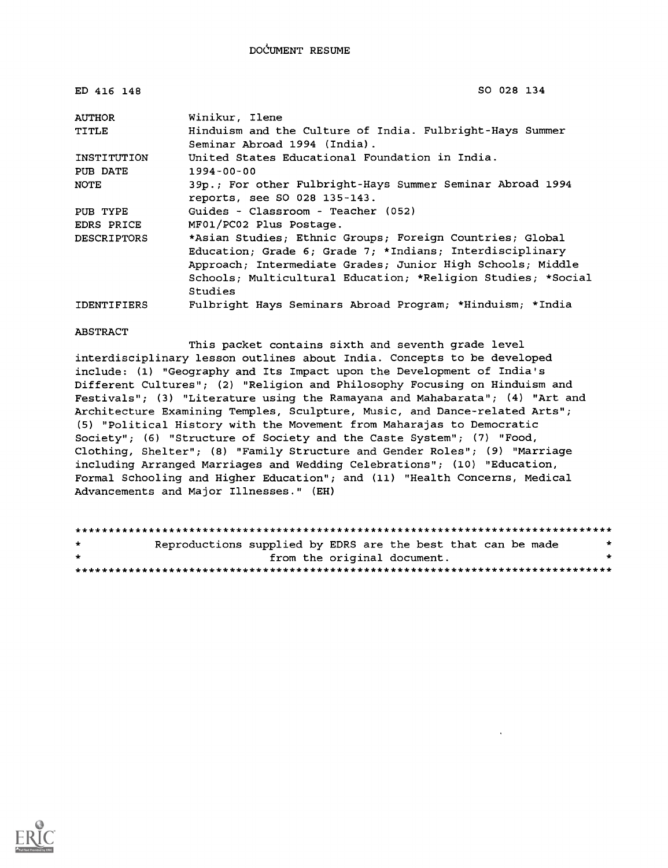| ED 416 148         | SO 028 134                                                                                                                                                                                                                                                    |
|--------------------|---------------------------------------------------------------------------------------------------------------------------------------------------------------------------------------------------------------------------------------------------------------|
| AUTHOR             | Winikur, Ilene                                                                                                                                                                                                                                                |
| TITLE              | Hinduism and the Culture of India. Fulbright-Hays Summer<br>Seminar Abroad 1994 (India).                                                                                                                                                                      |
| INSTITUTION        | United States Educational Foundation in India.                                                                                                                                                                                                                |
| PUB DATE           | $1994 - 00 - 00$                                                                                                                                                                                                                                              |
| <b>NOTE</b>        | 39p.; For other Fulbright-Hays Summer Seminar Abroad 1994<br>reports, see SO 028 135-143.                                                                                                                                                                     |
| PUB TYPE           | Guides - Classroom - Teacher (052)                                                                                                                                                                                                                            |
| EDRS PRICE         | MF01/PC02 Plus Postage.                                                                                                                                                                                                                                       |
| <b>DESCRIPTORS</b> | *Asian Studies; Ethnic Groups; Foreign Countries; Global<br>Education; Grade 6; Grade 7; *Indians; Interdisciplinary<br>Approach; Intermediate Grades; Junior High Schools; Middle<br>Schools; Multicultural Education; *Religion Studies; *Social<br>Studies |
| <b>IDENTIFIERS</b> | Fulbright Hays Seminars Abroad Program; *Hinduism; *India                                                                                                                                                                                                     |

#### **ABSTRACT**

This packet contains sixth and seventh grade level interdisciplinary lesson outlines about India. Concepts to be developed include: (1) "Geography and Its Impact upon the Development of India's Different Cultures"; (2) "Religion and Philosophy Focusing on Hinduism and Festivals"; (3) "Literature using the Ramayana and Mahabarata"; (4) "Art and Architecture Examining Temples, Sculpture, Music, and Dance-related Arts"; (5) "Political History with the Movement from Maharajas to Democratic Society"; (6) "Structure of Society and the Caste System"; (7) "Food, Clothing, Shelter"; (8) "Family Structure and Gender Roles"; (9) "Marriage including Arranged Marriages and Wedding Celebrations"; (10) "Education, Formal Schooling and Higher Education"; and (11) "Health Concerns, Medical Advancements and Major Illnesses." (EH)

| $\star$ | Reproductions supplied by EDRS are the best that can be made |                             |  |  |
|---------|--------------------------------------------------------------|-----------------------------|--|--|
| $\star$ |                                                              | from the original document. |  |  |
|         |                                                              |                             |  |  |

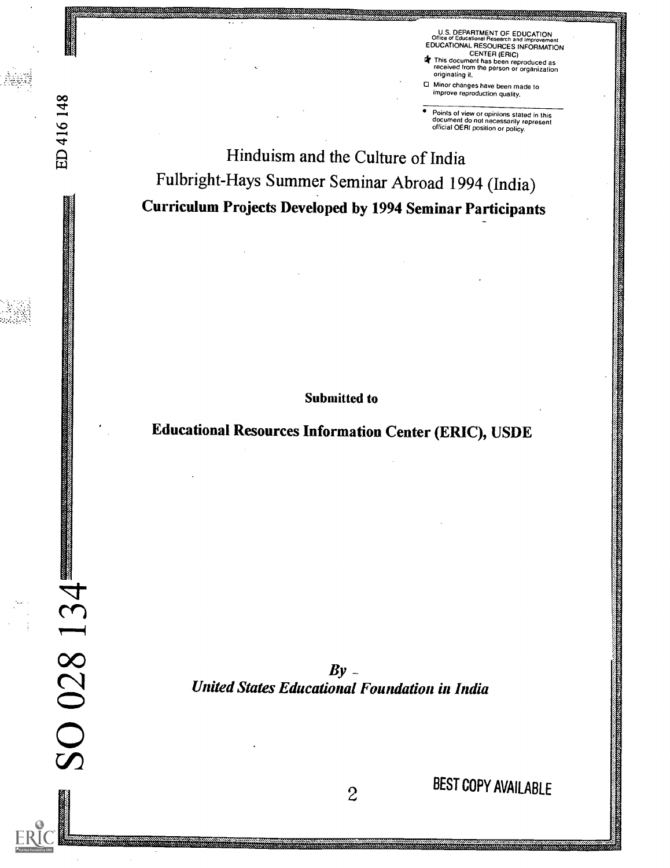DEPARTMENT OF EDUCATION EDUCATIONAL RESOURCES INFORMATION

. .....,wv.stasiassatoask..cv.vss

ana .

EDUCATIONAL RESOURCES INFORMATION<br>CENTER (ERIC)<br>This document has been reproduced as<br>received from the person or organization originating it.

 $\bullet$  Minor changes have been made to<br>improve reproduction quality.

T<br>
Points of view or opinions stated in this<br>
document do not necessarily represent<br>
official OERI position or policy.

Hinduism and the Culture of India Fulbright-Hays Summer Seminar Abroad 1994 (India) Curriculum Projects Developed by 1994 Seminar Participants

Submitted to

Educational Resources Information Center (ERIC), USDE

O<br>United States Education<br>United States Education  $By -$ United States Educational Foundation in India

 $\mathcal{A}$ 

 $\mathcal{L}$ 

BEST COPY AVAILABLE

is

....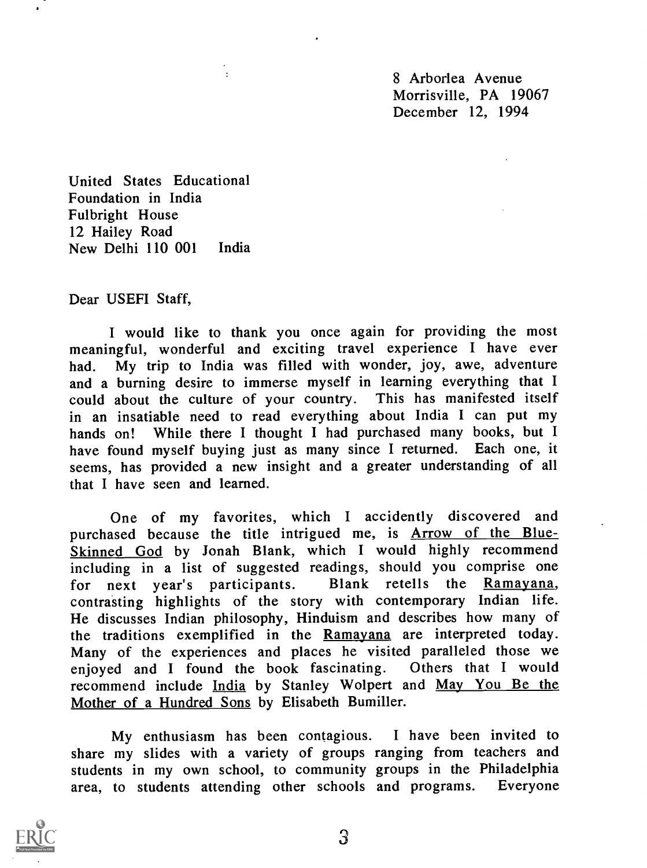8 Arborlea Avenue Morrisville, PA 19067 December 12, 1994

United States Educational Foundation in India Fulbright House 12 Hailey Road<br>New Delhi 110 001 India New Delhi  $110001$ 

Dear USEFI Staff,

I would like to thank you once again for providing the most meaningful, wonderful and exciting travel experience I have ever had. My trip to India was filled with wonder, joy, awe, adventure and a burning desire to immerse myself in learning everything that I could about the culture of your country. This has manifested itself in an insatiable need to read everything about India I can put my hands on! While there I thought I had purchased many books, but I have found myself buying just as many since I returned. Each one, it seems, has provided a new insight and a greater understanding of all that I have seen and learned.

One of my favorites, which <sup>I</sup> accidently discovered and purchased because the title intrigued me, is Arrow of the Blue-Skinned God by Jonah Blank, which <sup>I</sup> would highly recommend including in a list of suggested readings, should you comprise one<br>for next vear's participants. Blank retells the Ramayana, for next year's participants. contrasting highlights of the story with contemporary Indian life. He discusses Indian philosophy, Hinduism and describes how many of the traditions exemplified in the Ramayana are interpreted today. Many of the experiences and places he visited paralleled those we enjoyed and I found the book fascinating. Others that I would recommend include India by Stanley Wolpert and May You Be the Mother of a Hundred Sons by Elisabeth Bumiller.

My enthusiasm has been contagious. I have been invited to share my slides with a variety of groups ranging from teachers and students in my own school, to community groups in the Philadelphia area, to students attending other schools and programs. Everyone



3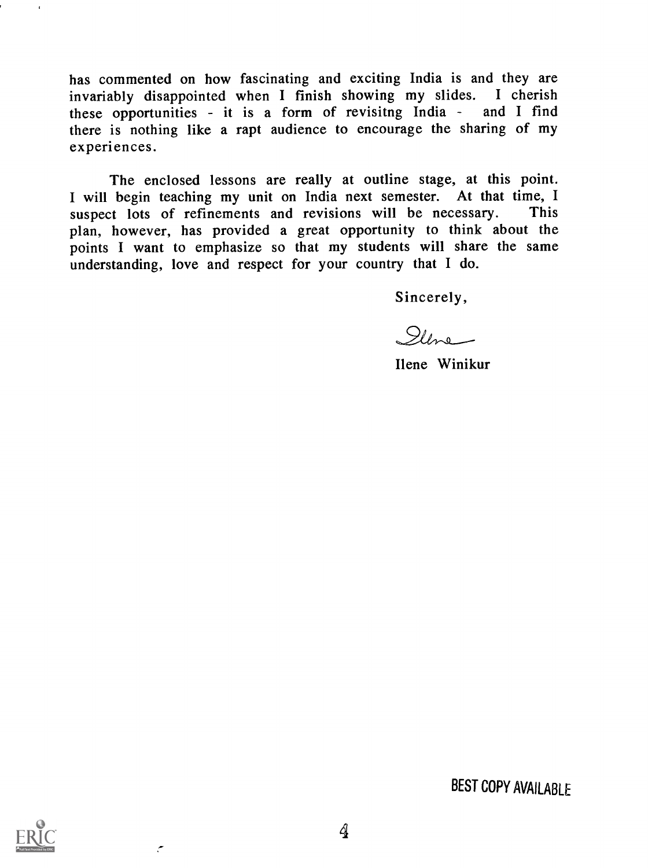has commented on how fascinating and exciting India is and they are invariably disappointed when I finish showing my slides. I cherish these opportunities - it is a form of revisitng India - and I find there is nothing like a rapt audience to encourage the sharing of my experiences.

The enclosed lessons are really at outline stage, at this point. I will begin teaching my unit on India next semester. At that time, I suspect lots of refinements and revisions will be necessary. This suspect lots of refinements and revisions will be necessary. plan, however, has provided a great opportunity to think about the points I want to emphasize so that my students will share the same understanding, love and respect for your country that I do.

Sincerely,

Illne

Ilene Winikur

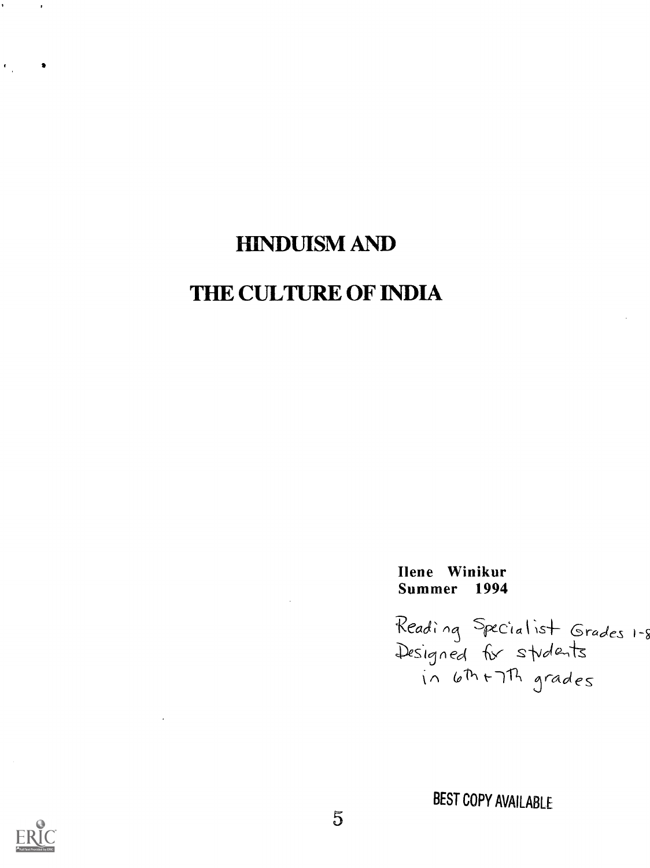## **HINDUISM AND**

## THE CULTURE OF INDIA

Ilene Winikur Summer 1994

**BEST COPY AVAILABLE** 



 $\mathbf{r}^{\prime}$ 

 $\epsilon_{\rm{in}}$ 

 $\bullet$ 

 $\bullet$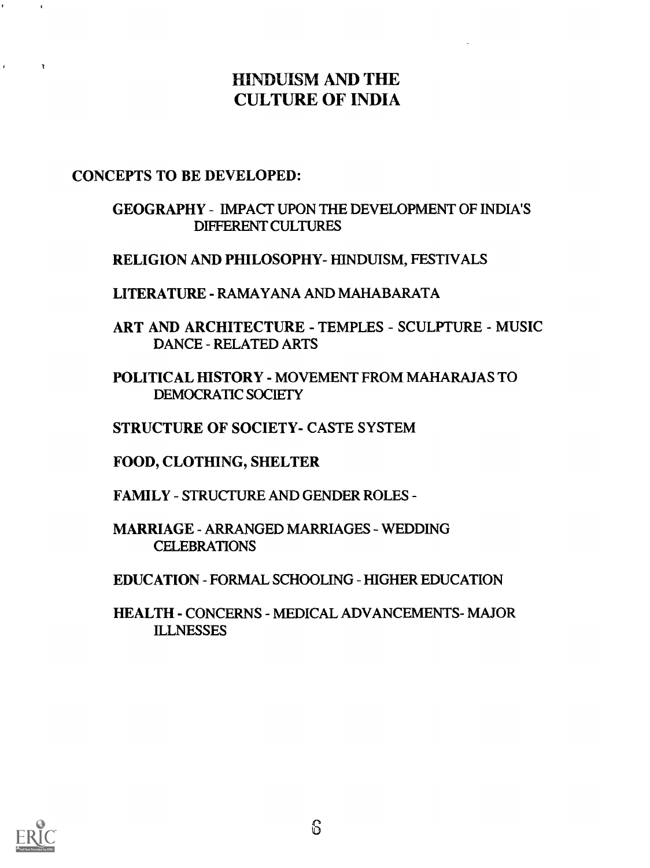### HINDUISM AND THE CULTURE OF INDIA

### CONCEPTS TO BE DEVELOPED:

### GEOGRAPHY - IMPACT UPON THE DEVELOPMENT OF INDIA'S DIFFERENT CULTURES

### RELIGION AND PHILOSOPHY- HINDUISM, FESTIVALS

LITERATURE - RAMAYANA AND MAHABARATA

ART AND ARCHITECTURE - TEMPLES - SCULPTURE - MUSIC DANCE - RELATED ARTS

POLITICAL HISTORY - MOVEMENT FROM MAHARAJAS TO DEMOCRATIC SOCIETY

STRUCTURE OF SOCIETY- CASTE SYSTEM

FOOD, CLOTHING, SHELTER

FAMILY - STRUCTURE AND GENDER ROLES -

MARRIAGE ARRANGED MARRIAGES - WEDDING **CELEBRATIONS** 

EDUCATION - FORMAL SCHOOLING - HIGHER EDUCATION

HEALTH - CONCERNS - MEDICAL ADVANCEMENTS- MAJOR **ILLNESSES** 



 $\mathbf{r}$ 

 $\mathbf{r}$ 

 $\tilde{E}$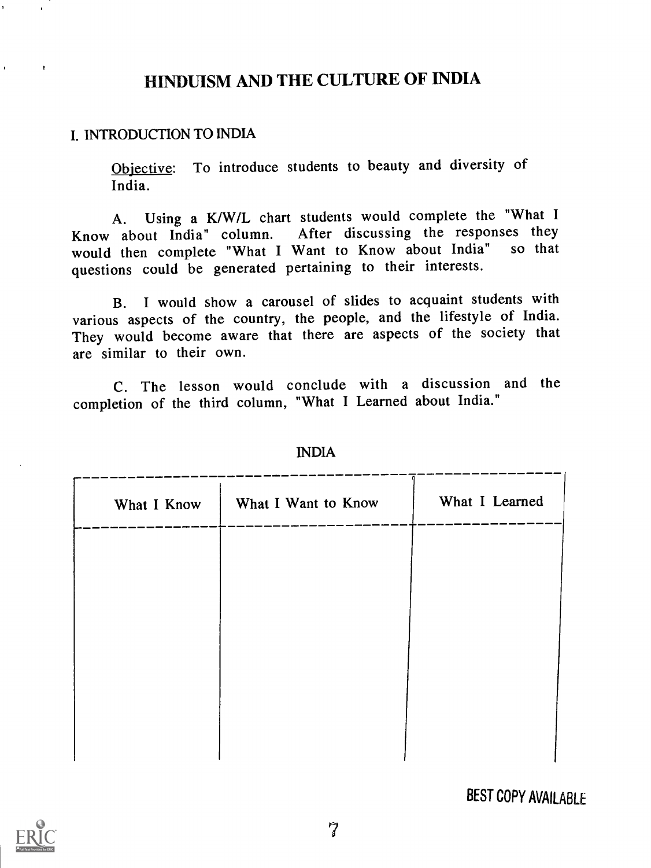## HINDUISM AND THE CULTURE OF INDIA

### I. INTRODUCTION TO INDIA

 $\mathbf{r}$ 

Objective: To introduce students to beauty and diversity of India.

A. Using a K/W/L chart students would complete the "What I<br>Know about India" column. After discussing the responses they After discussing the responses they<br>Want to Know about India" so that would then complete "What I Want to Know about India" questions could be generated pertaining to their interests.

B. I would show a carousel of slides to acquaint students with various aspects of the country, the people, and the lifestyle of India. They would become aware that there are aspects of the society that are similar to their own.

C. The lesson would conclude with <sup>a</sup> discussion and the completion of the third column, "What I Learned about India."

| What I Know | What I Want to Know | What I Learned |  |  |
|-------------|---------------------|----------------|--|--|
|             |                     |                |  |  |
|             |                     |                |  |  |
|             |                     |                |  |  |
|             |                     |                |  |  |
|             |                     |                |  |  |

### INDIA



BEST COPY AVAILABLE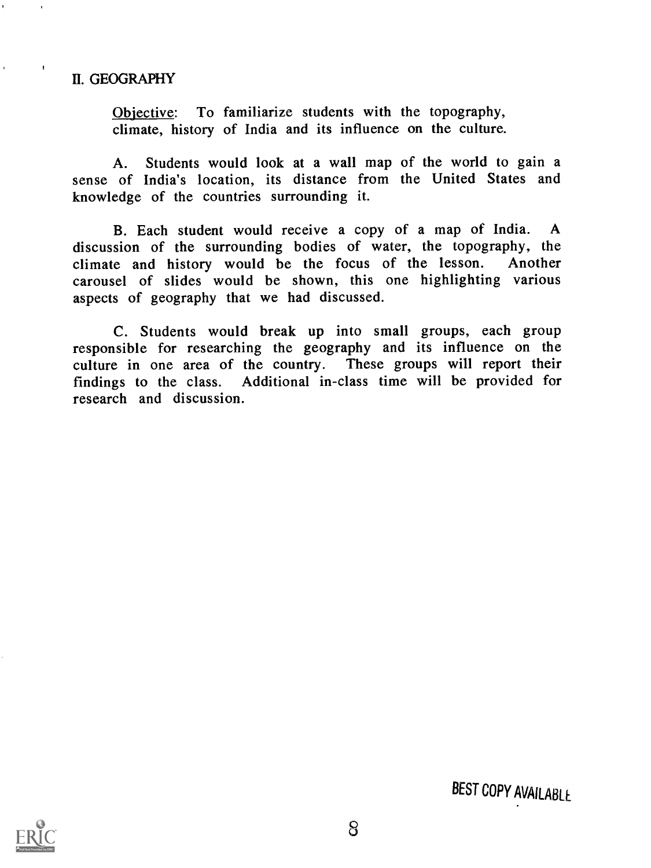### II. GEOGRAPHY

Objective: To familiarize students with the topography, climate, history of India and its influence on the culture.

A. Students would look at a wall map of the world to gain a sense of India's location, its distance from the United States and knowledge of the countries surrounding it.

B. Each student would receive a copy of a map of India. A discussion of the surrounding bodies of water, the topography, the climate and history would be the focus of the lesson. Another carousel of slides would be shown, this one highlighting various aspects of geography that we had discussed.

C. Students would break up into small groups, each group responsible for researching the geography and its influence on the culture in one area of the country. These groups will report their findings to the class. Additional in-class time will be provided for research and discussion.

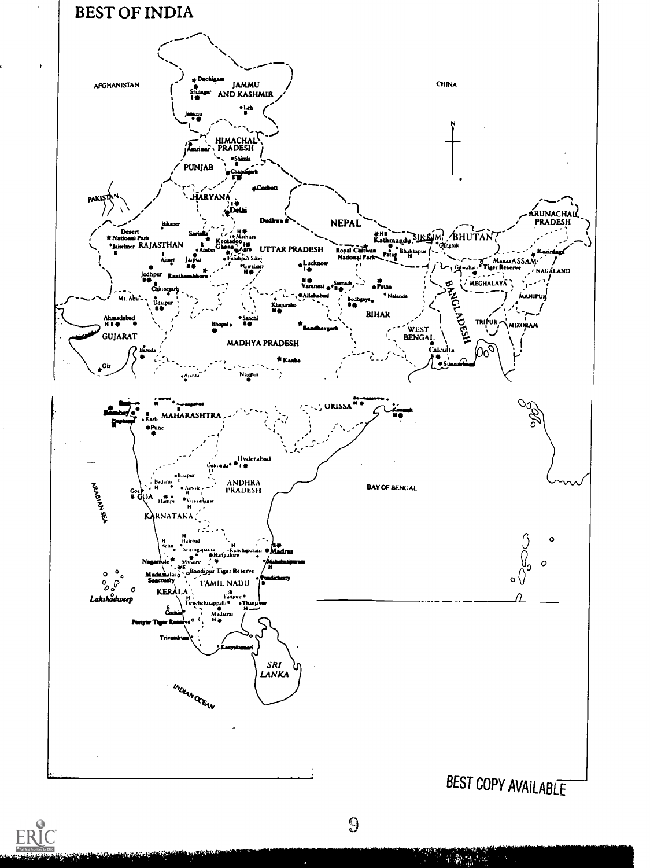

 $\mathcal{G}$ 

**MARS** 

ERIC

فلتخلط

نفتنا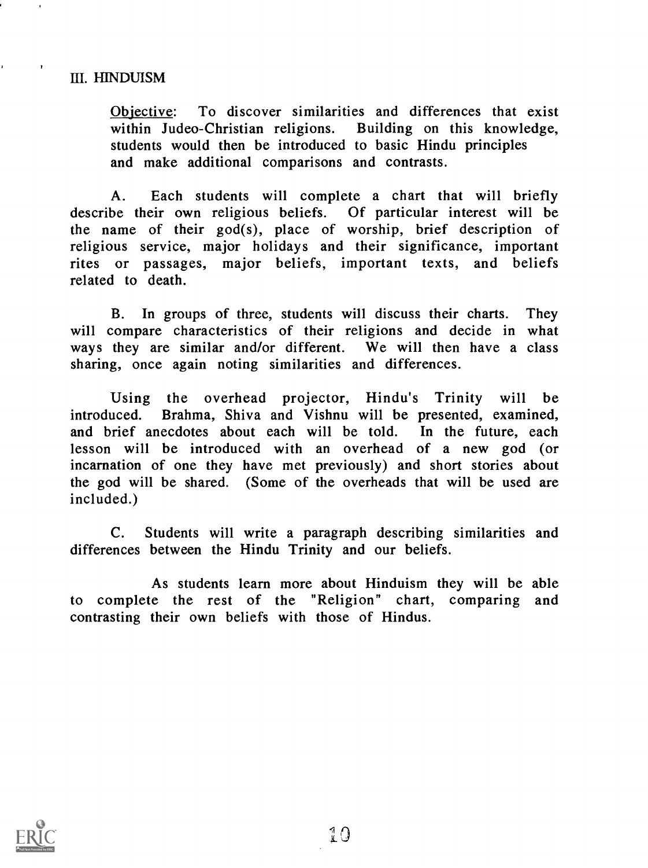### III. HINDUISM

Objective: To discover similarities and differences that exist within Judeo-Christian religions. Building on this knowledge, students would then be introduced to basic Hindu principles and make additional comparisons and contrasts.

A. Each students will complete a chart that will briefly describe their own religious beliefs. Of particular interest will be the name of their god(s), place of worship, brief description of religious service, major holidays and their significance, important rites or passages, major beliefs, important texts, and beliefs related to death.

B. In groups of three, students will discuss their charts. They will compare characteristics of their religions and decide in what ways they are similar and/or different. We will then have a class sharing, once again noting similarities and differences.

Using the overhead projector, Hindu's Trinity will be introduced. Brahma, Shiva and Vishnu will be presented, examined, and brief anecdotes about each will be told. In the future, each lesson will be introduced with an overhead of a new god (or incarnation of one they have met previously) and short stories about the god will be shared. (Some of the overheads that will be used are included.)

C. Students will write a paragraph describing similarities and differences between the Hindu Trinity and our beliefs.

As students learn more about Hinduism they will be able to complete the rest of the "Religion" chart, comparing and contrasting their own beliefs with those of Hindus.

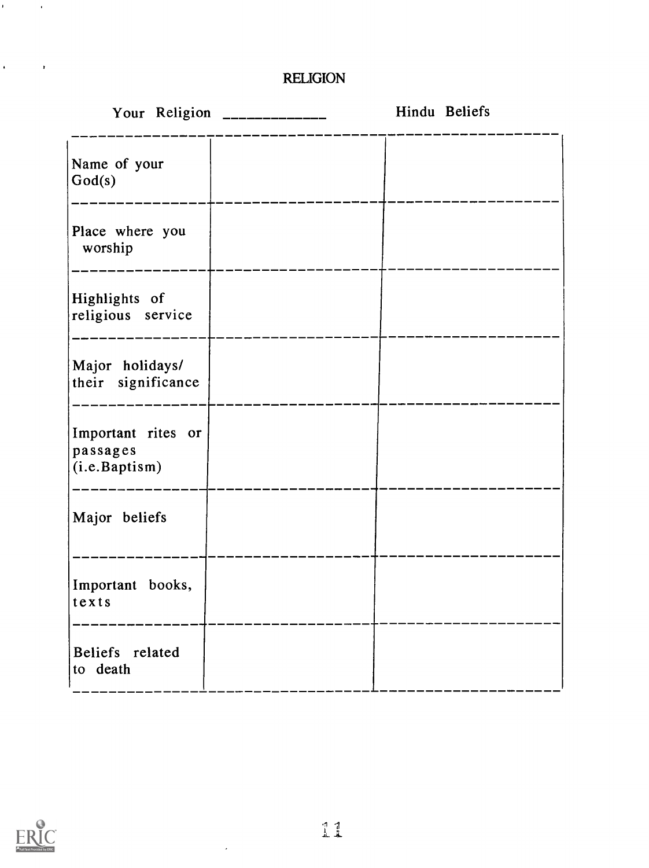## RELIGION

|                                                 |  | Hindu Beliefs |
|-------------------------------------------------|--|---------------|
| Name of your<br>God(s)                          |  |               |
| Place where you<br>worship                      |  |               |
| Highlights of<br>religious service              |  |               |
| Major holidays/<br>their significance           |  |               |
| Important rites or<br>passages<br>(i.e.Baptism) |  |               |
| Major beliefs                                   |  |               |
| Important books,<br>texts                       |  |               |
| Beliefs related<br>to death                     |  |               |



 $\mathbf{C}^{\text{max}}_{\text{max}}$  and  $\mathbf{C}$ 

 $\hat{\mathbf{r}}$  and  $\hat{\mathbf{r}}$ 

 $\overline{\phantom{a}}$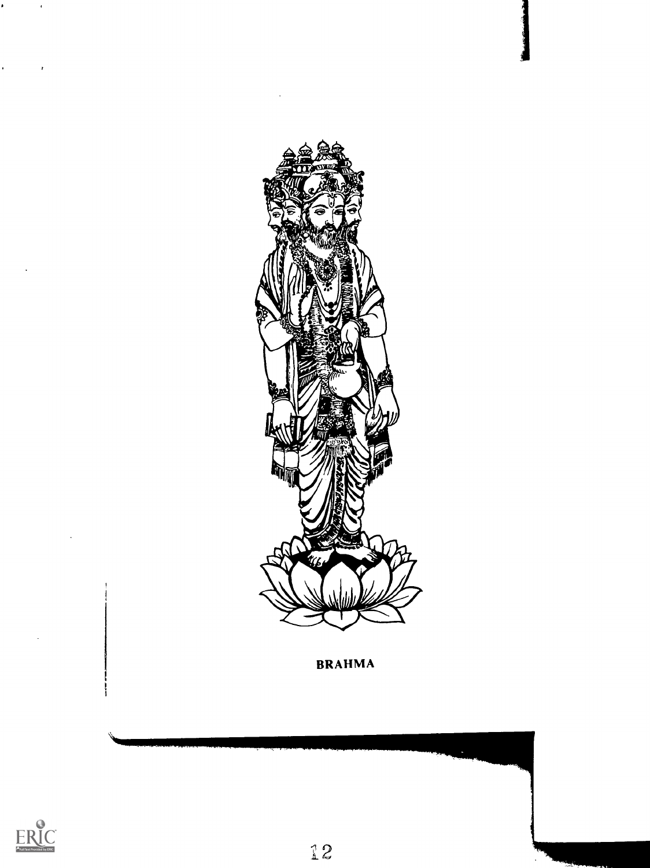

BRAHMA



ł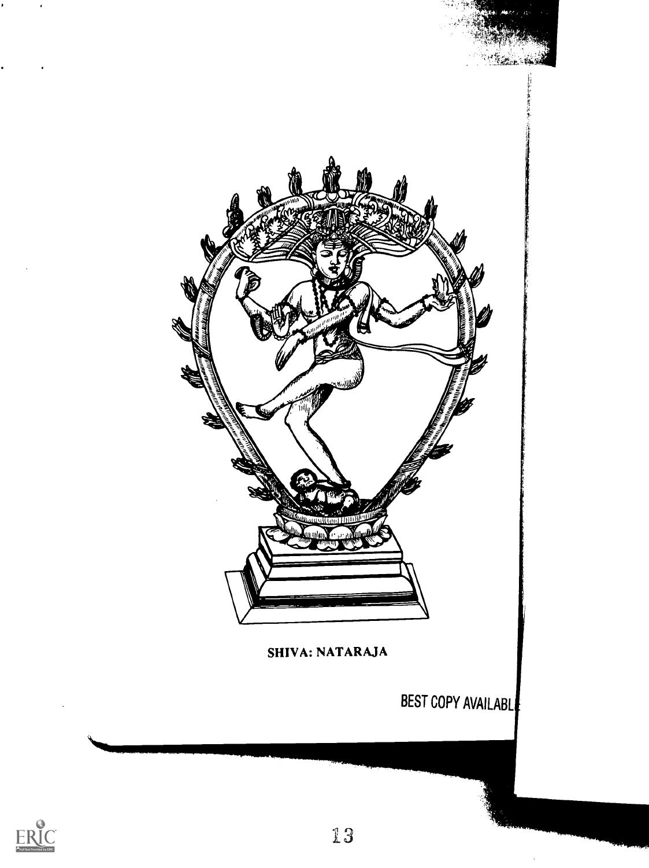

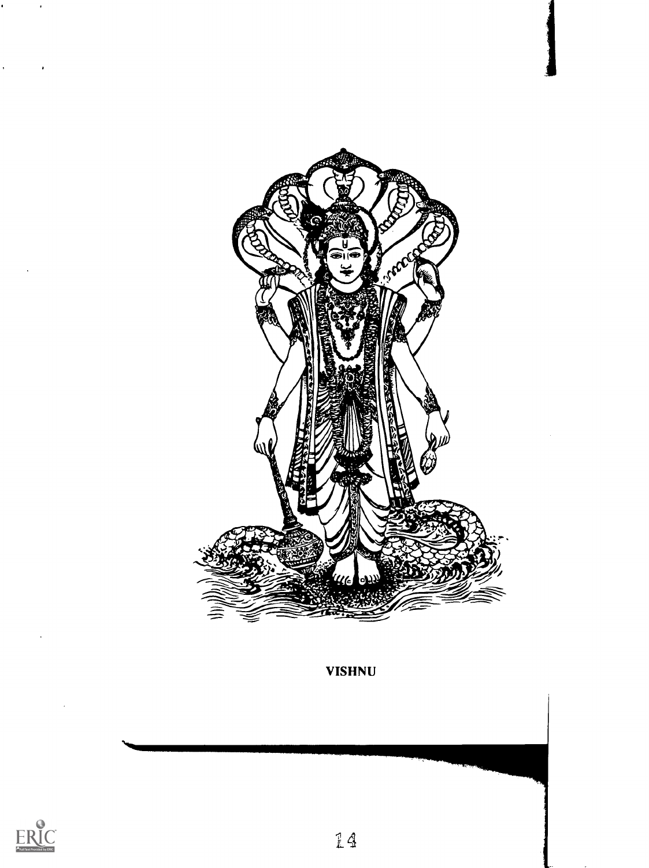

**VISHNU** 



 $\ddot{\phantom{a}}$ 

 $\bullet$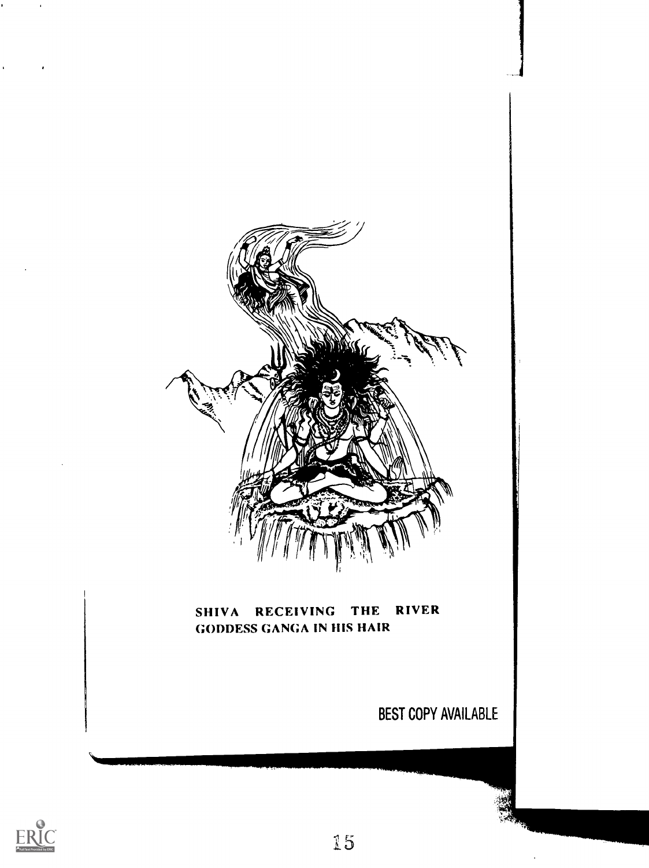

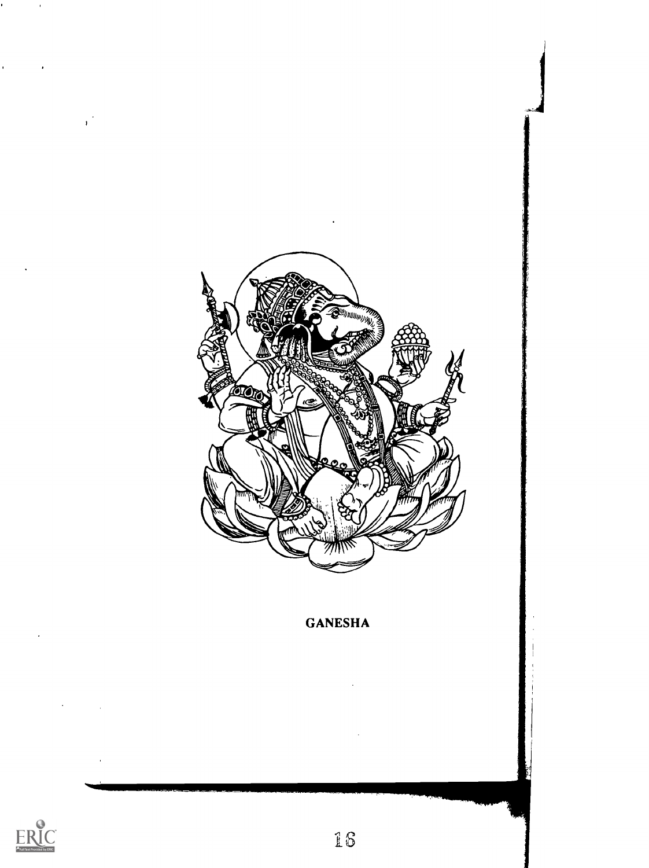

### **GANESHA**



l,

 $\bullet$ 

 $\mathbf{r}$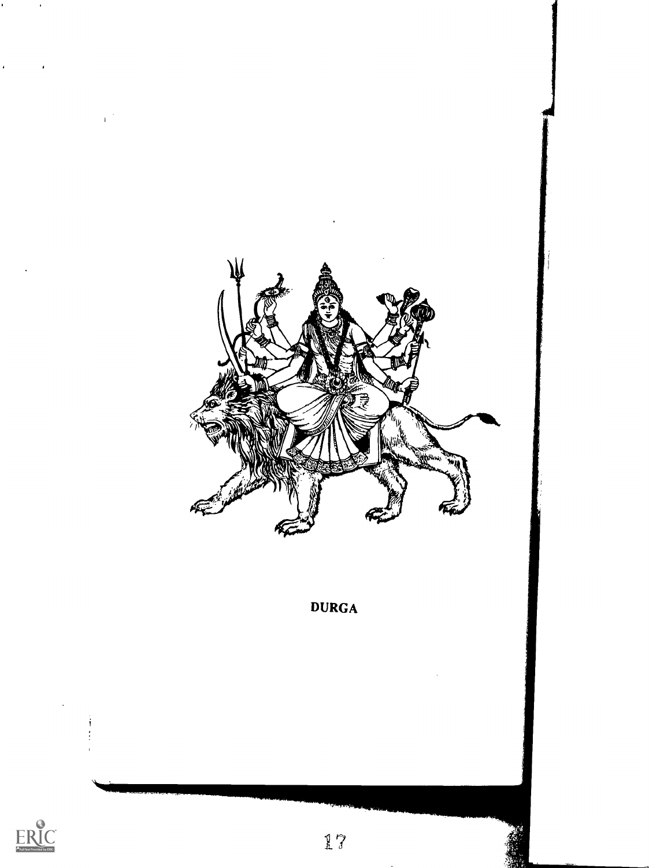

## DURGA



 $\cdot$ 

 $\frac{1}{\sqrt{2}}$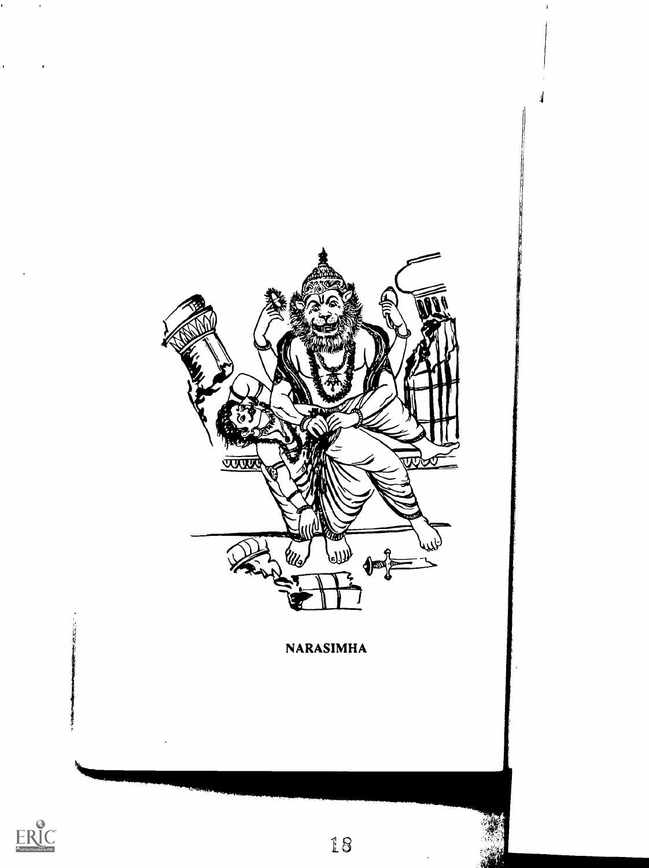

 $ERIC$ 

l,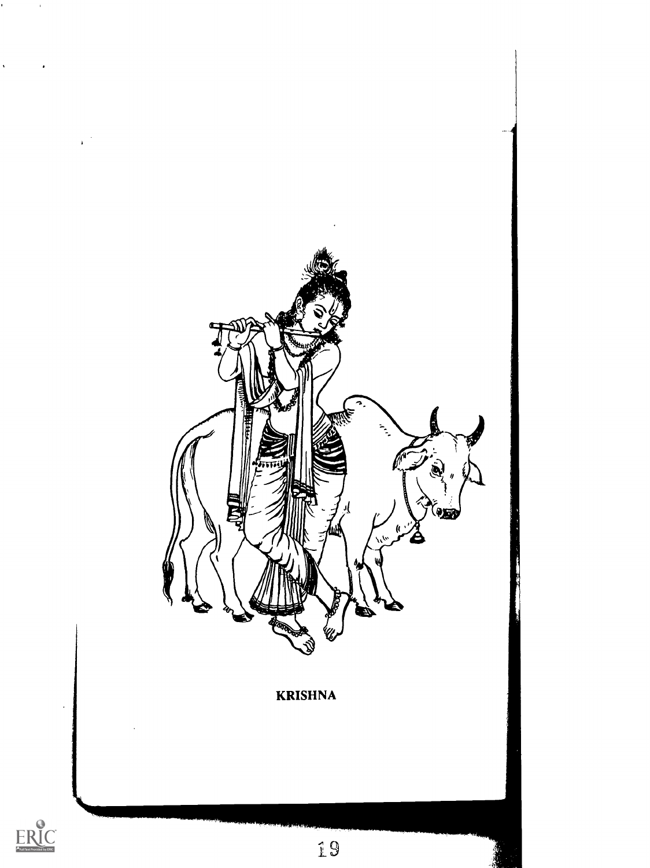



 $\ddot{\phantom{a}}$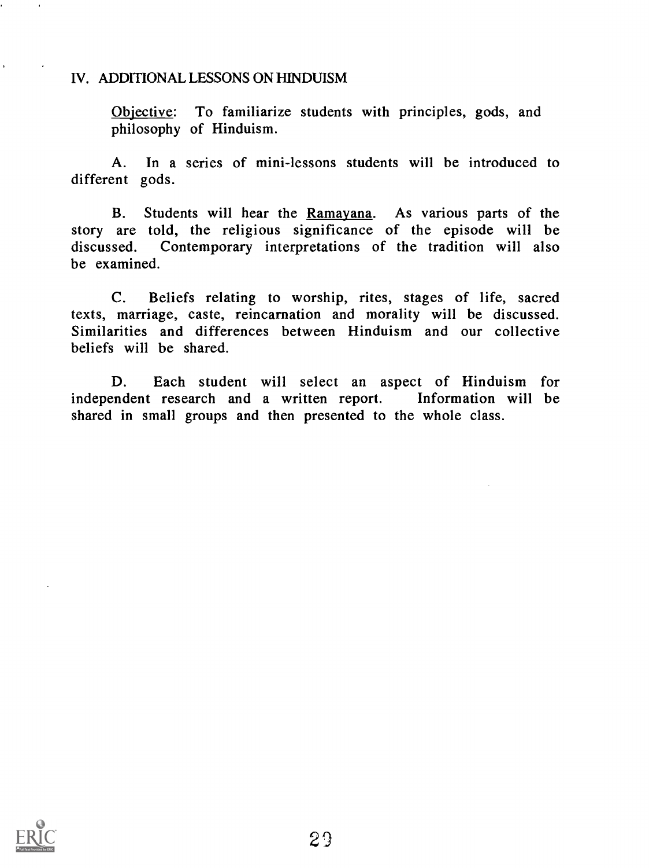### IV. ADDITIONAL LESSONS ON HINDUISM

Objective: To familiarize students with principles, gods, and philosophy of Hinduism.

A. In a series of mini-lessons students will be introduced to different gods.

B. Students will hear the Ramayana. As various parts of the story are told, the religious significance of the episode will be discussed. Contemporary interpretations of the tradition will also be examined.

C. Beliefs relating to worship, rites, stages of life, sacred texts, marriage, caste, reincarnation and morality will be discussed. Similarities and differences between Hinduism and our collective beliefs will be shared.

D. Each student will select an aspect of Hinduism for independent research and a written report. Information will be shared in small groups and then presented to the whole class.



 $\mathbf{r}$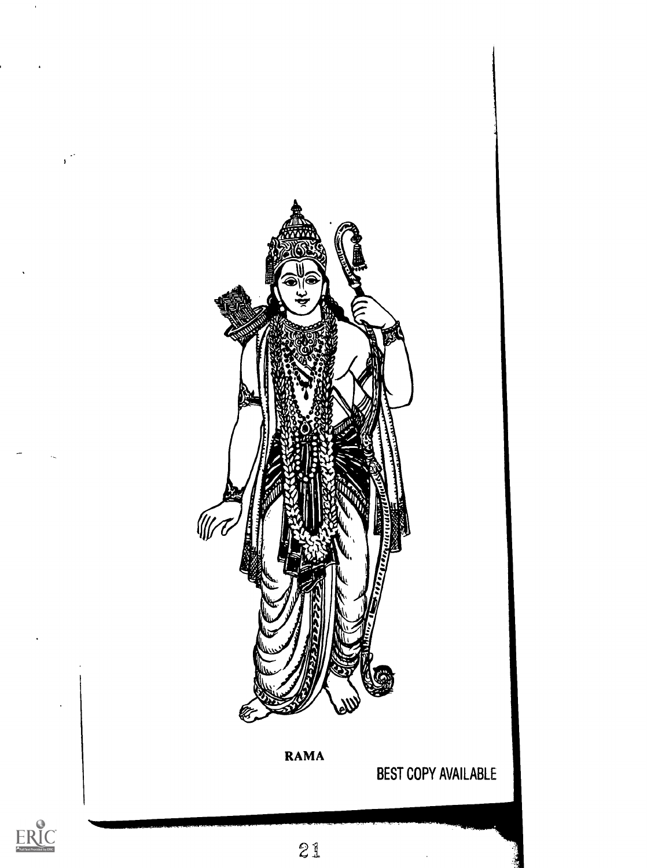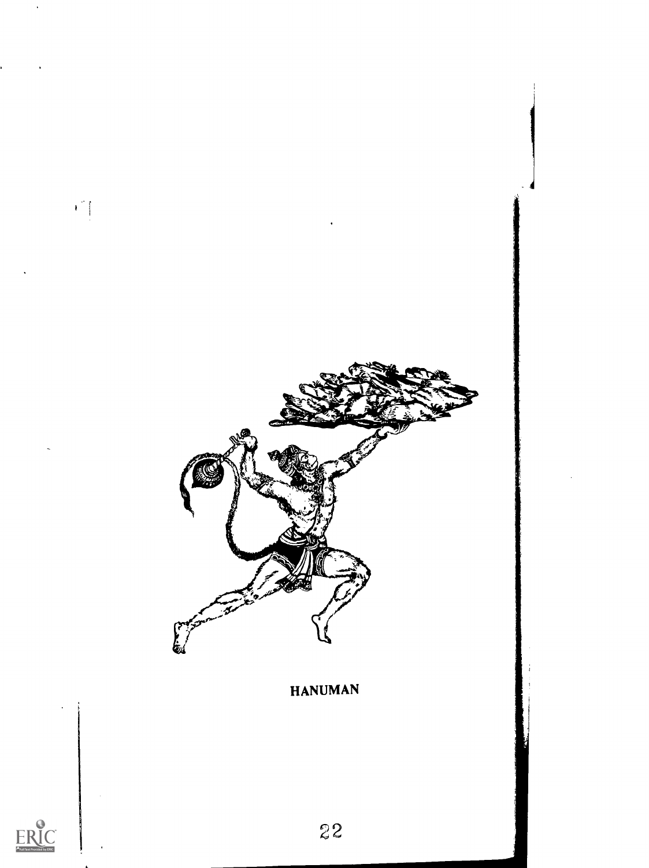

**HANUMAN** 

 $\begin{array}{c} \begin{array}{c} \begin{array}{c} \begin{array}{c} \end{array} \\ \begin{array}{c} \end{array} \end{array} \end{array} \end{array}$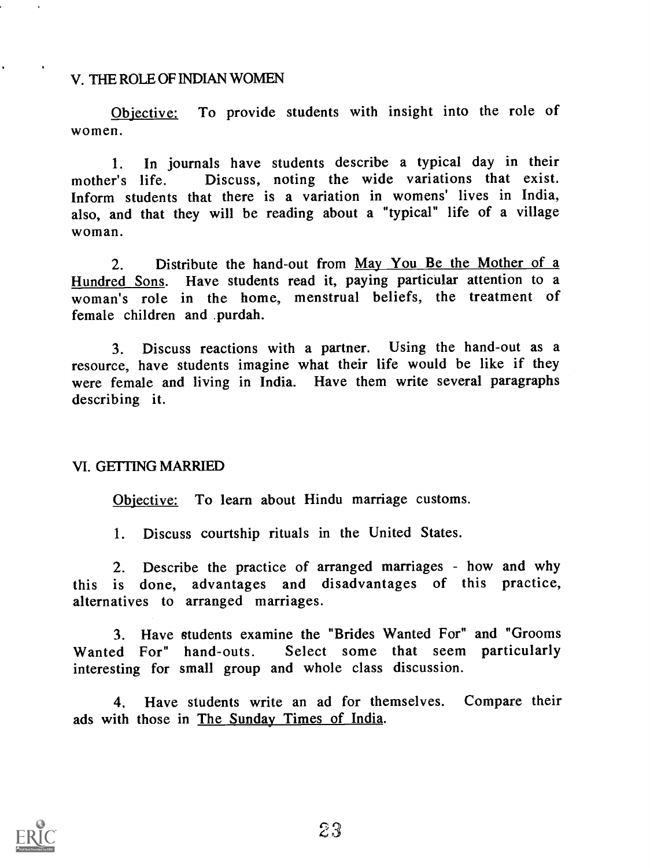### V. THE ROLE OF INDIAN WOMEN

Objective: To provide students with insight into the role of women.

1. In journals have students describe a typical day in their mother's life. Discuss, noting the wide variations that exist. Discuss, noting the wide variations that exist. Inform students that there is a variation in womens' lives in India, also, and that they will be reading about a "typical" life of a village woman.

2. Distribute the hand-out from May You Be the Mother of a Hundred Sons. Have students read it, paying particular attention to a woman's role in the home, menstrual beliefs, the treatment of female children and .purdah.

3. Discuss reactions with a partner. Using the hand-out as a resource, have students imagine what their life would be like if they were female and living in India. Have them write several paragraphs describing it.

### VI. GETTING MARRIED

Objective: To learn about Hindu marriage customs.

1. Discuss courtship rituals in the United States.

2. Describe the practice of arranged marriages - how and why this is done, advantages and disadvantages of this practice, alternatives to arranged marriages.

3. Have students examine the "Brides Wanted For" and "Grooms Wanted For" hand-outs. Select some that seem particularly interesting for small group and whole class discussion.

4. Have students write an ad for themselves. Compare their ads with those in The Sunday Times of India.

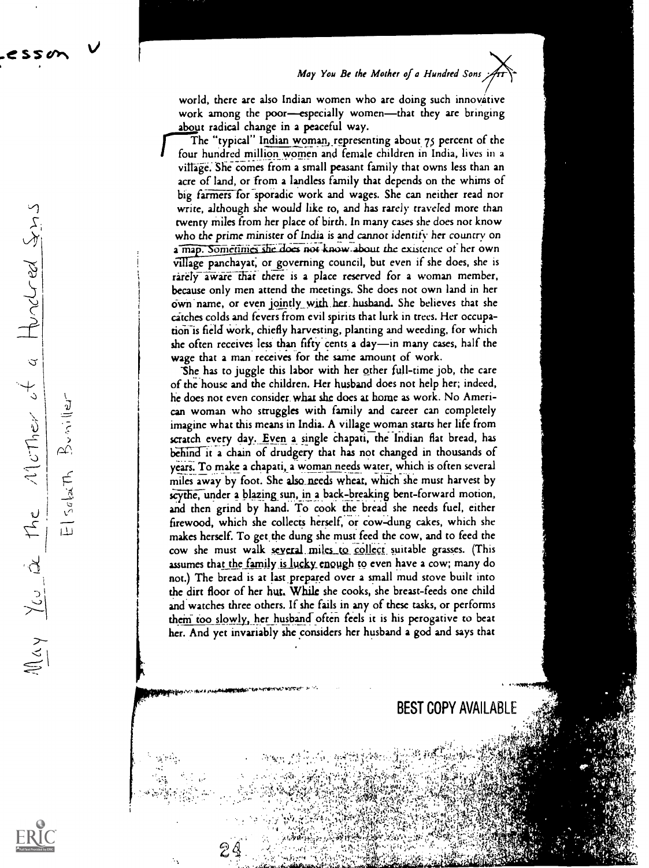world, there are also Indian women who are doing such innovative work among the poor-especially women-that they are bringing about radical change in a peaceful way.<br>"The "typical" Indian woman, representing about 75 percent of the

four hundred million women and female children in India, lives in a village. She comes from a small peasant family that owns less than an acre of land, or from a landless family that depends on the whims of big farmers for sporadic work and wages. She can neither read nor write, although she would like to, and has rarely traveled more than twenty miles from her place of birth. In many cases she does not know who the prime minister of India is and cannot identify her country on a map. Sometimes she does not know about the existence of her own village panchayat, or governing council, but even if she does, she is rarely aware that there is a place reserved for a woman member, because only men attend the meetings. She does not own land in her own name, or even jointly with her husband. She believes that she catches colds and fevers from evil spirits that lurk in trees. Her occupation is field work, chiefly harvesting, planting and weeding, for which she often receives less than fifty cents a day—in many cases, half the wage that a man receives for the same amount of work.

She has to juggle this labor with her other full-time job, the care of the house and the children. Her husband does not help her; indeed, he does not even consider. what she does at home as work. No American woman who struggles with family and career can completely imagine what this means in India. A village woman starts her life from scratch every day. Even a single chapati, the Indian flat bread, has behind it a chain of drudgery that has not changed in thousands of years. To make a chapati, a woman needs water, which is often several miles away by foot. She also needs wheat, which she must harvest by scythe, under a blazing sun, in a back-breaking bent-forward motion, and then grind by hand. To cook the bread she needs fuel, either firewood, which she collects herself, or cow-dung cakes, which she makes herself. To get the dung she must feed the cow, and to feed the cow she must walk several miles to collect suitable grasses. (This assumes that the family is lucky enough to even have a cow; many do not.) The bread is at last prepared over a small mud stove built into the dirt floor of her hut. While she cooks, she breast-feeds one child and watches three others. If she fails in any of these tasks, or performs them too slowly, her husband often feels it is his perogative to beat her. And yet invariably she considers her husband a god and says that

**VWW.** VERSITY

a.

BEST COPY AVAILABLE

સુરી માહિ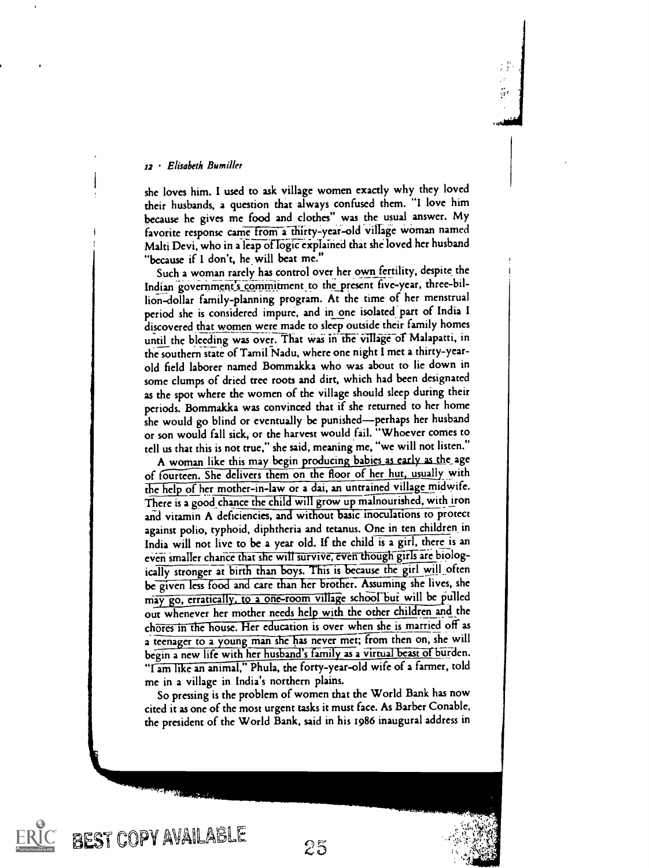#### 12 Elisabeth Eumiller

BEST COPY AVAILABLE

she loves him. I used to ask village women exactly why they loved their husbands, a question that always confused them. "I love him because he gives me food and clothes" was the usual answer. My favorite response came from a thirty-year-old village woman named Malti Devi, who in a leap of logic explained that she loved her husband "because if I don't, he will beat me."

 $\frac{1}{2}$ 

Such a woman rarely has control over her own fertility, despite the Indian government's commitment to the present five-year, three-billion-dollar family-planning program. At the time of her menstrual period she is considered impure, and in one isolated part of India I discovered that women were made to sleep outside their family homes until the bleeding was over. That was in the village of Malapatti, in the southern state of Tamil Nadu, where one night I met a thirty-yearold field laborer named Bommakka who was about to lie down in some clumps of dried tree roots and dirt, which had been designated as the spot where the women of the village should sleep during their periods. Bommakka was convinced that if she returned to her home she would go blind or eventually be punished-perhaps her husband or son would fall sick, or the harvest would fail. "Whoever comes to tell us that this is not true," she said, meaning me, "we will not listen."

A woman like this may begin producing babies as early as the age of fourteen. She delivers them on the floor of her hut, usually with the help of her mother-in-law or a dai, an untrained village midwife. There is a good chance the child will grow up malnourished, with iron and vitamin A deficiencies, and without basic inoculations to protect against polio, typhoid, diphtheria and tetanus. One in ten children in India will not live to be a year old. If the child is a girl, there is an even smaller chance that she will survive, even though girls are biologically stronger at birth than boys. This is because the girl will often be given less food and care than her brother. Assuming she lives, she may go, erratically, to a one-room village school but will be pulled out whenever her mother needs help with the other children and the chores in the house. Her education is over when she is married off as a teenager to a young man she has never met; from then on, she will begin a new life with her husband's family as a virtual beast of burden. "lam like an animal," Phula, the forty-year-old wife of a farmer, told me in a village in India's northern plains.

So pressing is the problem of women that the World Bank has now cited it as one of the most urgent tasks it must face. As Barber Conable, the president of the World Bank, said in his 1986 inaugural address in

25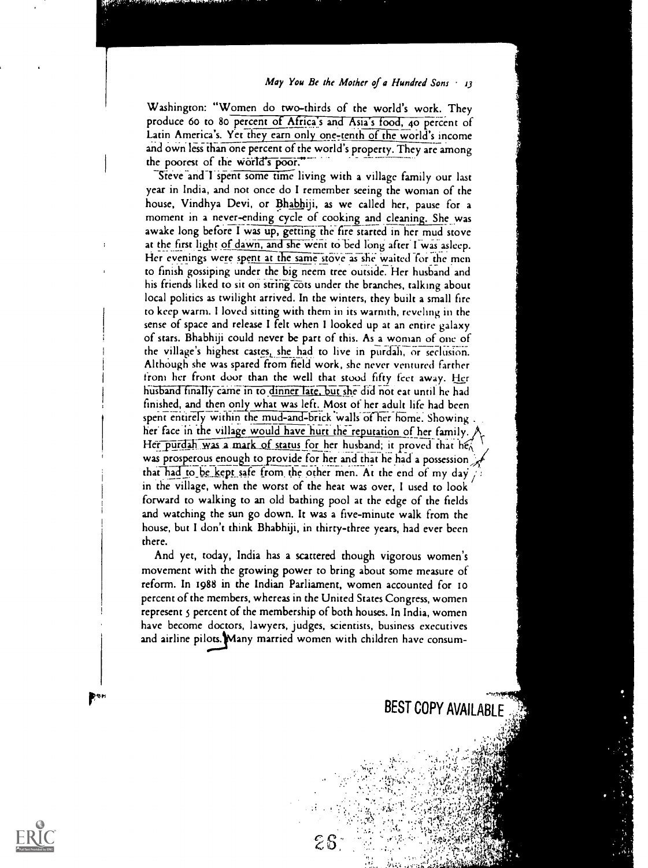#### May You Be the Mother of a Hundred Sons  $\cdot$  13

Washington: "Women do two-thirds of the world's work. They produce 60 to 80 percent of Africa's and Asia's food, 40 percent of Latin America's. Yet they earn only one-tenth of the world's income and own less than one percent of the world's property. They are among the poorest of the world's poor."

Steve and I spent some time living with a village family our last year in India, and not once do I remember seeing the woman of the house, Vindhya Devi, or Bhabhiji, as we called her, pause for a moment in a never-ending cycle of cooking and cleaning. She was awake long before I was up, getting the fire started in her mud stove at the first light of dawn, and she went to bed long after I was asleep. Her evenings were spent at the same stove as she waited for the men to finish gossiping under the big neem tree outside. Her husband and his friends liked to sit on string cots under the branches, talking about local politics as twilight arrived. In the winters, they built a small fire to keep warm. I loved sitting with them in its warmth, reveling in the sense of space and release I felt when I looked up at an entire galaxy of stars. Bhabhiji could never be part of this. As a woman of one of the village's highest castes, she had to live in purdali, or sectusion. AlthOugh she was spared from field work, she never ventured farther from her front door than the well that stood fifty feet away. Her husband finally came in to dinner late, but she did not eat until he had finished, and then only what was left. Most of her adult life had been spent entirely within the mud-and-brick walls of her home. Showing . her face in the village would have hurt the reputation of her family. Her purdah was a mark of status for her husband; it proved that hen was prosperous enough to provide for her and that he had a possession that had to be kept safe from the other men. At the end of my day in the village, when the worst of the heat was over, I used to look forward to walking to an old bathing pool at the edge of the fields and watching the sun go down. It was a five-minute walk from the house, but I don't think Bhabhiji, in thirty-three years, had ever been there.

And yet, today, India has a scattered though vigorous women's movement with the growing power to bring about some measure of reform. In 1988 in the Indian Parliament, women accounted for to percent of the members, whereas in the United States Congress, women represent 5 percent of the membership of both houses. In India, women have become doctors, lawyers, judges, scientists, business executives and airline pilots. Many married women with children have consum-

BEST COPY AVAILABLE

t,



**Dene**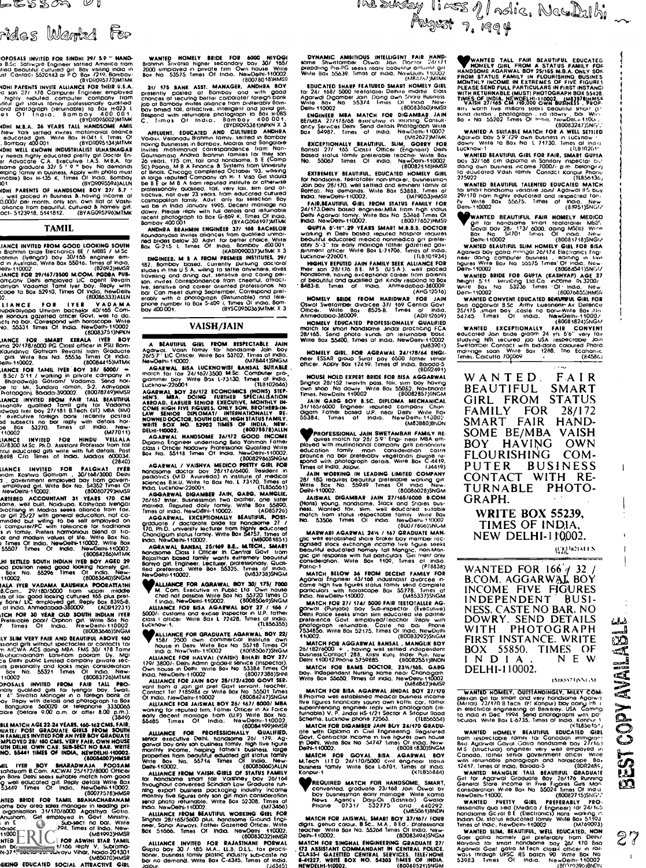WANTED TALL FAIR BEAUTIFUL EDUCATED<br>HANDSOME AGARWAL BOY 25/16S M.B.A. ONLY SON FROM STATUS FAMILY IN FLOURISHING BUSINES MONTHLY INCOME IN EXTREMES OF FIVE FIGURES PLEASE SEND FULL PARTICULARS IN FIRST INSTANCI WITH RETURNABLE (MUST) PHOTOGRAPH BOX 55428. "VAISH 27/165 CM /10,000 OWN BUSINESS" PROP. 4

arty worth five millions seeks beautiful small circles in the millions seeks beautiful small circles<br>sena definitions photograph , no dowry bar Win Bo x No 55202 Times Of India . (80083247)5NG...

WANTED A SUITABLE MATCH FOR A WELL SETTLED Agorwal boy 59 "/29 own business in LuCknow dowry Write to Box No. L 71730. Times of India<br>Lucknow t (111110261)

WANTED BEAUTIFUL GIRL FOR FAIR, SMART GUPTA<br>Day 32/168 cm diploma in Sanitary inspector cr,\* doing own business income 7000/. pm belongir.0<br>to educated Vow. family Contact Kanpur Phone<br>275922 (1185613c, \* )

WANTED BEAUTIFUL TALENTED EDUCATED MATCH<br>for small handsome yoisotie Jain/ Agarwol in5 toy 29/770 from highly educated ono respected tom.<br>29/770 from highly educated ono respected tom.<br>Delhi-110002 - 110002 (83951)SNGIZ<br>De

WANTED BEAUTIFUL FAIR HOMELY MEDICO<br>Gil for handsome smart teototoilei MbO'.<br>Goyal boy 28, 173/ 6000. doing MS(11) Wire<br>Bo. No 54701 limes Of India. New York<br>Delhi-110002 (80081718)SNGM

WANTED BEAUTIFUL SLIM HOMELY GIRL FOR BISA<br>Agorwal boy gotro mhngal 26/174 Electronics Engi<br>neer doing computer business . earning in live<br>figures Write Box No 55575 Times' 01 india. New

Demi-110002<br>
WANTED BRIDE FOR GUPTA (KASHYAP) AGE 27<br>
Negni 5:11 servicing tracco increme Pass 3200/<br>
Winte Box No 53236 Times Of this No. New<br>
WANTED CONVENT EDUCATED BENUTWENT GRID POR<br>
DNATED CONVENT EDUCATED BENUTWENT

studying NRI secured jab USA respectable Join<br>Swetamber Contact with bio-data coloured Photo<br>marriage soon Write Box 1288. The Economic<br>Times, Calcutta 700069

WANTED. FAIR<br>BEAUTIFUL SMART BEAUTIFUL SMART GIRL FROM STATUS FAMILY FOR 28/172 SMART FAIR HAND-SOME BE/MBA VAISH<br>BOY HAVING OWN BOY HAVING FLOURISHING COM-<br>PUTER BUSINESS **BUSINESS** CONTACT WITH RE-TURNABLE PHOTO-GRAPH.

WRITE BOX 55239, TIMES OF INDIA, NEW DELHI-11'0002.

1,(4'irtri:4-1 I

WANTED FOR  $166/132/$ B.COM. AGGARWAL BOY INCOME FIVE FIGURES INDEPENDENT BUSI-NESS. CASTE NO BAR. NO DOWRY. SEND DETAILS<br>WITH PHOTOGRAPH DOWRY. SEND DETAILS<br>
WITH PHOTOGRAPH<br>
FIRST INSTANCE. WRITE<br>
BOX 55850. TIMES OF<br>
INDIA . NEW<br>
DELHI-110002.<br>
WARRE HOMELY. OUTSTANDINGLY, MILITY COMPANY<br>
WARRE HOMELY. OUTSTANDINGLY, MILITY COMPANY<br>
HOME OF 1974 SPRINGLY **BOX 55850, TIMES OF INDIA, NEW** DELHI -I 10002.

#### r51tifts771sk.r.kt

WARTED HOMELY, OUTSTANDINGTY, MILKY COM-<br>plexion gut for smart and very handsome Again and the community of the community of the community of the independent of the community of the form of the field of the field of the fi

تشخیص (KTLB5o15\*)<br>from respectable family for Canadian memorian orner<br>from Agorwal Goyal Gotta nandsome boy 27/1ots M S (structural) engineer very well employed in Canada. tother senior government officer Write<br>with returnable photograph and horoscope Bo.<br>12417. Irmes of India. Boroda-5 (0002485, WANTED MANGLIK TALL BEAUTIFUL GRADUATE BELL GOT AGARWOL GO FOR AGARWOOD GO FOR AGARWOOD INCOME INCOME IN FIGORE<br>General Stare Income In Five Figores Girls Man consideration Write Box No. 55024 Times Of India NewDelhi 1100011 New New New New New New York Of India New Yo<br>NewDelhi 1100011 (80082715)SNG\*1

WANTED PRETTY GIRL PREFERABLY PNRGO.:quo lied (Medico / Engineer) tor 24/1p5lessionally handsome Gc /01 B E (Electronics) Hens Indian Oil. status educated family. Write Box 51194<br>Times of Indic. NewDelni 110002 (M769093)

Times of Indic. NewDelni-110002<br>WANTED SLIM, BEAUTIFUL, WELL EDUCATED, NON<br>Goel gotra homely girl preferably from Delhi/ (@) Haryana for smart handsome boy 26/ 170 Bsa<br>Agorwal Goel gotta M Tech classi afficer in rail<br>Ways through UPSC IES parch 90 Write Box No<br>539E3 Times Of India. NewDeini-110002<br>(80170306)8NDN

DYNAMIC AMBITIOUS INTELLIGENT FAIR HAND-<br>some Shwetomber Oswoi Join Pecer 24/171<br>prepaling Pre.PG seeks really beautitul attituent gill<br>Write Box 55639. Times of Indio. NewUuil, 110002<br>(MR4.12)MIMK FROM. **EDUCATED SHARP FEATURED SMART HOMELY GIRL**<br>1 24/ 168/ 5000 teetatalier Delhire middle Class

for 24/ 168/ 5000 teetotaller Delhite middle class<br>Agarwal Digamber Jain Doing own Snore Business<br>Write Box No 553/4 limos 01 india New.<br>Delhi-110002 (80083860)HMSR ENGINEER MBA MATCH FOR DIGAMBAR JAIN sund delo<br>BE/MBA 27/178/68 executive in incroing Consult. Box No<br>Oncy Sarvices Delhi Sena details Pinotograph Wilte<br>Box 54987. Times of Indio. NewDelhi:110002 - WANTED

Mtt Agarool Autor Autor (Mt. 2022)MIMK Agarool (Mt. 2014)<br>Bonsai 27/ 165 Class.1 Officer (Engineer) Delhi Lucknow V<br>Dosed status formily preferable teacher Write Box No. 55067 Times Of India. NewDeln-110002 Doy 32/16

**EXTREMELY BEAUTIFUL, EDUCATED HOMELY GIRL** to business for handsome, teetotaller non-smoker. businessman 275922 Jain boy 28/170. well settled and eminent fomily of Rot**rial: WANTE**<br>Rotrial:. No demands. Write Box 53888. Times of New Derhinat<br>I**ndia. NewDelni-110002.** 

FAIR,BEAUTIFUL GIRL FROM STATUS FAMILY FOR <sup>EV</sup>OITH-1100<br>24/173.Delhi based engineer.MBA from high status<br>Delhi Agarwol family. Write Box No 53468 Times Of **Contract Contract Contract Contract Contract Contract Contract**<br>I

India, New Delhi-110002, NARE MARIA RASA, DOCTORS<br>
WARD WORKING IN THE WARD WAS SURFAULT WAS MOVED AND MONEY WORKING IN DEVICE TO THE SURFAULT OF THE SURFAULT OF THE SURFAULT OF THE SURFAULT UNIT OF THE SURFAULT WITH SURFA - MIGHLY REPUTED JAIN FAMILY SEEK ALLIANCE FOR - figures<br>Their son: 28/176-8E. M.S. (USA). wall placed - Delhi-11<br>Nandsome, having acceptional career from parents - WANT<br>at Deauthul and qualited girl Kindly respond to Box

(AHG 12516) HOMELY BRIDE FROM HARIDWAR FOR JAIN WANTED OSwal Swetamber divorcee 37/ 109 Central Govt Disa and<br>Oswal Swetamber divorcee 37/ 109 Central Govt Disa and<br>Ahmedabad-380009. (ADR12659) 54745<br>Ahmedabad-380009.

HOMELY EDUCATED PROFESSIONALLY QUALIFIED match for smart handsome Jinaai practicing FCA 28/165. Send photo kundli on returnable base.. Write Box 55400. Times of India. NewDelh.110002

(M83901) Swetch<br>HOMELY GIRL, FOR AGRAWAL 24/178/64 ENGI matrice<br>Hore ESSAR group Surat pay 6500 lather seniar Times.<br>Officer. Apply Box 12419. Times of India. Barodd-5<br>(BDR2491)

NOUSE HOLD EXPERT BRIDE FOR BISA AGGARWAL WANTED.<br>Singhol 28/152 twelvth poss, foir, sign boy having BEAUTIFUL<br>Times. NowDolni 110002 (80082857)SNGM CLINI TROMA

JAIN GARG BOY B.SC. DIPLOMA MECHANICAL UIL<br>31/165/6000 Engineer reputed company Chan<br>Oficial Father based U.P. near Delhi Write ho. 554<br>55384. Times of India. NewDelhi-110002<br>(M83880)BNON SM

ParoFESSIONAL JAIN SWETAMBAR FAMILY RE-<br>played with mutinotional company gifts parameters.<br>education family main consideration costs<br>pounce no bor preferably vegetaring player of the production<br>promot with phatograph detai

JAIN WORKING IN LEADING LIMITED COMPANY<br>28/ 185 requires beautiful preferable working girl<br>Write Box No. 55949 Times Of India New.<br>Write Box No. 55949 Times Of India New. New. New. New. Delhi-110002. JAISWAL DIGAMBAR JAIN 27/165/6000 B.COM<br>(Hons) young, handsame, Stack and Shares bus:<br>ness, Wanted Tour, slim, well educated switches<br>match from status respectable family Wirte Bax MVR<br>No. 53506 Times Of India, (800//800)5

MARWARI AGARWAL 24V / 167 GRADUATE MAN<br>give well established share bioter boy member rec-<br>ognised stock exchange income five figure seeks<br>beautiful educated hornely fail Manglic, non-Man-<br>give give response with full parti

MACH BELOW 36 FROM DECENT FAMILY FOR THE CONTROL INCORPORATION AND CONTROL DURING THE POTT POTT CHARGE THAT A POST ON A BUT DURING THAT THAT AND CONTROLLER AGE CONTROLLER AND CONTROLLER AND DURING PORT OF THE CONTROLLER CO

rgFc 7534856. .tri:BO51. Mr Ofndia.Ne:Dg H. TC11%: '7pc ho (80083292)SNGM

MATCH FOR AGGARWAL BANSAL , MANGLIK BOY<br>26/182/6000 + having well settled independent BOX<br>business.Contact 288. Krishi Kuni. Inder Pun. New<br>Delhi 110012.Pnone 5759885. (80082551)BNDN | N

MATCH FOR BAMS DOCTOR, 231/1465, GARG<br>boy. Independent Nursing Home near Chonagarn<br>Write Box 55650. Times of India. NewDeln-110002<br>(M84842)HMSR

MATCH FOR BISA AGARWAL JINDAL BOY 27/170 B.Pharma well established medical business income five figures financially sound own kathi. car. father (M) superintending engineer reply with photograph (returnable) V. P. Jindal HS -1/21 Sector A Sit(aTpLur R5.,) oao Scheme. Lucknow phone 72563.

MATCH FOR DIGAMBER JAIN BUY 24/170 GRADU-<br>ate with Diplomo in Civil Engineenng. Registered Govt. Contractor Income in five figures own house from re In Delhi. Write Box No. 54747 limes Of India. New. Bisa Agar<br>Delhi-110002. (80081830)SNGM MS (strui MATCH FOR GOYAL BISA AGARWAL BOY Canada.<br>M.Tech LITD. 24/170/5000 civil engineer status with retur business ramily Write Box 1-6701. Times of Indio. Konpur 1 (K IL B55884)

'REQUIRED MATCH FOR HANDSOME, SMART, Convented. graduate 23/168 Jain Oswal by consideration or businessman early marriage Write Kamlo News Dary -Oh (1999)<br>News Agency Darji-Oir (Lashkar) Gwohor Phone 0731/ 532775 and 44029

MATCH FOR JAISWAL. SMART BOY 27/167/ FOUR indian O<br>digits. genua calour. B.Sc.. M.A . B Ed . professional firmes of<br>feacher Write Box No. 55264 Times Of India. New- WANTE<br>Delhi-110002. (80083494)SNGM Goel of MATCH FOR SINGHAL ENGINEERING GRADUATE 27/ Haryana 1<br>172 ASSISTANT COMMANDANT IN CENTRAL POLICE. A Agaronal C<br>CLASS-1 GAZETTED CENTRAL SERVICES. TELEPHONE ways inidi<br>8-41227. WRITE BOX NO. 54303 TIMES OF INDIA, 53983 T<br>160

WANTED HOMELY BRIDE FOR 6000 NIYOGI BYNAMIN Srivatisa higher secondary boy 30/ 165/ 2000<br>Brahmin Srivatisa higher secondary boy 30/ 165/ 2000<br>2000 employed in private firm Own house Write Box No 53575 Times Of India. NewDe

31/175 BANK ASST. MANAGER, ANDHEA 80Y<br>presently posted at Bomboy and with good to 24/<br>chances of securing better corporate/foreign bonk Agorwork<br>poly brand foll, attractive. intelligent and pivial girl. Delhi-11<br>boy brand

AFFLUENT, EDUCATED AND CULTURED AND MANY X and CV<br>
Volocul, Velondou Stomm Incmini, selfied in Bomboy<br>
Youcul, 175 cm, for increase of the Manuforce of the Manuforce EXCE<br>
Invites matrimonial correspondence from Non-<br>
Gout

ANDHRA BRAHMIN ENGINEER 37/ 168 BACHELOR<br>ANDHRA BRAHMIN ENGINEER 37/ 168 BACHELOR<br>Gundanyaso Invites alliances from qualified unmar-<br>advances below 30 Advt, for better cnoice. Write<br>as G-215 I, Times Of India, Bombay 400 0

ENGINEER, M B A FROM PREMIER INSTITUTES, 29<br>182, Bomboy bosed, Currently pursuing doctoral History Dosed, Currently pursuing doctoral<br>studies in the U S A, willing to settle anywhere, loves their<br>troveling and dining out, ive, sensitive and career oriented professionals. No<br>bar Can meet during September, Correspond pret.<br>erably with a photograph (Returnable) and tele-<br>phone rumber to Bax S-409 i. Times O India, Born- .<br>bay 400.001. . . . .

#### VAISH/JAIN

A BEAUTIFUL GIRL FROM RESPECTABLE JAIN<br>Agorwal, Voish family for handsome Jain boy<br>26/57" LIC Officer. Write Box 53702, Times of India. NewDelhi-110002.<br>NewDelhi-110002. (M78441)SNGM officer. So

AGARWAL BISA LUCKNOWIST BANSAL SUITABLE . match for far 24/162/3500 M.Sc. Computer pro., grammer boy Write Box L.73130. https://wite Box L.73130. https://wite Box L.73130. https://wite Box L.73130. https://wite Box L.73130 AGARWAL BOY 24/172 ECONOMICS (HONS) STEP. UNIT-<br>HENS. MBA. DOING FURTHER SPECIALISATION TIMES. N<br>ABROAD, EARLIER SENIOR EXECUTIVE, MONTHLY IN. 33/1955<br>COME HIGH FIVE FIGURES. ONLY SON, BROTHERS-IN. 33/1955<br>NOWNED DOCTOR SO

DELHI-140002. (60075578)ALLN<br>AGARWAL HANDSOME 24/172 GOOD INCOME<br>Diploma Engineer undertraing Birls Volmining Units<br>Class i Officer Noddwiry Professional Qualitied With<br>Box No. 55118 Times Of India. NewDelhi-110002.<br>Box No

AGARWAL / VAISHYA MEDICO PRETTY GIRL FOR<br>handsome doctor boy 28/174/6400. Resident in any pediatrics (MD. Ayurvedo) in institute of medical sciences B.H.U. Write to Box No. I. 73170. Times of  $^{81}$ <br>sciences B.H.U. Write t

India. Lucknow-226001. The CHISS561) MGGARWAL DIGAMBER JAIN, GARG, MANGLIK, DAG<br>AGGARWAL DIGAMBER JAIN, GARG, MANGLIK<br>26/167 Inter. Businessman two brother, one sister married. Reputed doily family, Write Box 55890. The<br>Ti

AGGARWAL. EXCEPTIONALLY BEAUTIFIE. POST-<br>graduate / doctorate bride for handsome 27 / No. 5<br>170, Ph.D. university lectures from highly educated<br>Chandigum status formity. Write Box 54757, Times of<br>thdia, NewDelhi-110002.

AGRAWAL BANSAL 25/469 B.E., M.TECH, SMART<br>
Nondsome Class | Officer in Central Govt from Deposition based tamily wants externely becaused and response<br>
Rajasthan based tamily wants externely because considerable<br>
Banya gir

ALLIANCE FOR AGRAWAL BOY 30/ 175/ 7000

child not possible Write Box No 55720 Times 0 I Indio. NewDelhi-110002. (80085069)SNGM ALLIANCE FOR LISA AGARWAL SOY 27 / 166 / 5000/- customs and excise inspector in U.P. father class I officer Write Box L 72428. Times of India. pic. (11.856355) pt

ALLIANCE FOR GRADUATE AGARWAL BOY 22/ 15800<br>158/ 2500 own commercial Institute own house in Delhi Write Box No 5718 Times Of

India . Now Definite 10002 (60063067)SNGM 20118/2003<br>ALLIANCE FOR HALVAI (VAISH) BIHARI BOY 27/ DUSINESISCO<br>1797 3800/- Delin Admin grade-il tenuca (inspector). Delini 1100<br>Clivin nousia in Delini Wirle Box No 53384 Times

ALLIANCE THE 7100002 (80084247)SNAL BOY 26/ 167/ 6000 MBA WORKING FOR JAISWAL BOY 26/ 167/ 8000 MM<br>Wite Box No. 55485 Times Of India. Ne wDelhi- 11000<br>Box No. 55485 Times Of India. Ne wDelhi- 11000<br>65485 Times Of India. (8

AWANCE FOR PROFESSIONALLY QUALIFIED, senior executive Delhi. handsome 26/ 179. Aggarwal boy anly son business family. high five figure in Delhi.<br>Impartiny income, helping father's business, large Delhi-11(<br>Properties from beautiful educted girl status family MIATC<br>Write Box: No. 55714 Times Of India, N

ALLIANCE FROM VAISH GIRLS OF STATUS FAMILY Kanpur-1<br>for handsome smart fair Varshney boy 26/164<br>throughout convented Scindian Law Graduate run-<br>monthly five figures only son girl main consideration boy<br>monthly five figures send photo returnable. Write Box 52308. Times of<br>India. NewDelhI-110002.

ALLIANCE FROM BEAUTIFUL WORKING GIRL FOR<br>Singhal 28/165/5600 plus. handsome Ground Engi- MATCI<br>Ineer. Sonar Airways. Father Gozetted Officer. Write Biglis. gr<br>Box 51666. Times Of India. NewDelhi 110002. Pechn-110<br>(80083032

ALLIANCE INVITED FOR RAJASTHAN) PORWAL Gupta bey 30 / 185 M.A., LL.B. D.L.L. tax practitioner, business family plastic industry sub-caste no bar no demand. Write Box C-4345. Times of India. Jaipur. (J4345)

అండ్\$ ప*ా*ం

rides Wanted For

OPOSALS INVITED FOR SINDHI 29/ 5.9 " HAND- - WANTED - M<br>9 B.Sc. Software Engineer settled America from - Brohmin Stive<br>titied beautiful cultured girl Boy visting India in - 2000 employe<br>131 Cantact 5520143 or P.O. Box 7219

NDHIPARENTS INVIER ALLIANCE FOR THEIR U.S.A. 31/175 BANI<br>The Tart of the Computer Engineer employed presently posted on only 7/78 Computer compony from chances of security<br>third get strongly reputed computer compony from c

**IDHI M.B.A. 26 YEARS TALL HANDSOME AMIL**<br>New York settled invites matrimonial alliance **AFFLUI**<br>Bourcated girls. Write Box H-041 I. Times Of Valaki 1<br>Bombay 400.001. (BYDR095134)MTMK having B IDHI WELL KNOWN INDUSTRIALIST ULHASNAGAR - Invites m<br>y needs highly educated pretty girl Doctor En- - Gouthams<br>ar Advocate C.A. Executive I.A.S. M.B.A. for - 26 years. isome graduate 32/ 5 ' 9 " boy No demands - Sc) Poont<br>elping family in business. Apply with photo must - of llinnals.<br>Innable) Box H-135 K, Times 01 India. Bombay - in large r<br>101 - ADD - ADDR095594)ALLN - be B E or

iDHI PARENTS OF HANDSOME BOY 27/ 5.7 ' prolesson...<br>., well placed in Business &. hoving Income of tractive.<br>0.000/ per month. only son. own Hot at Vashi- cosmapy<br>act- 5123918, 5141812. (BYAG095796)MTMK downy. P<br>act- 51239

#### TAMIL

JANCE INVITED FROM GOOD LOOKING SOUTH<br>Brahmin bride Electronics BE / MBBS / M.Sc<br>rahmin (lyengor) boy 30/165 engineer em. a in Australia.<br>din Australia. Write Box 55016, Times of India. 110002.<br>leini-110002. (82693)HMSR at JANCE FOR 29/167/3500 M.COM. PGDBA PUB- traveling<br>ompany Delhi employed LIC agent Revath Ivon, inviti<br>dinyan Vadamal Tamil lyer boy. Reply with Ive, sensit<br>cope to Box 52910, Times Of India. NewDelhi Ivan Dar Can<br>12. Cope

LIANCE FOR IYER VADAMA phone numb<br>rupakasyopa Uthiram bachelor 40/165 Com- boy 400.001.<br>e Honours gazetted officer Govt. well to do. icts no bar. Correspond with horoscope. Write الحادي.<br>Vo. 55331 Times Of India. NewDelhi-110002.<br>(80083751)NPKN (80083751)NPKN (

JANCE FOR SMART KERALA IYER BOY Imo 29/178/6000 PG Classl officer in PSU Born- Koundaya Gothram Revathl from Graduate girls. Write Box No. 55536 Times Of India. Olh-110002. (80084415)MTMK

JANCE FOR TAMIL IVER BOY 35/ 6000/ = AGAR<br>B.Sc/ 5'11 / working in private company in motion f<br>Bhoroclwala Gottam/ Vadamo. Send hor- gramme<br>Se to Mr. Sunders roman. S-2. Adhyapak Lucknow<br>Protopganj. Barodo-390002. (80078749 IANCE INVITED FROM FAIR TALL BEAUTHUL MENSUAL<br>Shondly qualified Tamil girls for Vadama ABROAD<br>dwago lyel boy 27/181 B.Tech (III) MBA (IIM) COMER<br>The securitie fareign bonk recently posted NOWNET<br>of Box S3270, Times of Indi

LIANCE INVITED FOR HINDU VELLALA AWAMI<br>D/8300 M.Sc. Ph.D. Assistant Professor from toll Diploma<br>http://educated.girls write with full detoils: Post 80034.<br>8498 C/o Times of Indio, Madras 600034. (2840)<br>Andras 600034. (284

LIANCE INVITED FOR PALOHAT IYER<br>INGITED FOR PALOHAT IYER<br>Indian Kashiva Gothram , 30/168/3000 Delhi<br>Indian girl. Write Box No. 54352 Times Of<br>NewDelti-110002. (80080729)HMSR<br>NewDelti-110002. (80080729)HMSR NewDelhi-110002. (80080729)HMSR MOLDING AGREER<br>ARERER ACCOURTANT 31 YEARS 170 CM 26/167 html<br>Some. well built. Noidrupa. Koshyapa Iyengar marined. Rep<br>or dirl 25/27 with general education, not can in limes of lind<br>are prin Computer/PC will telerance for traditional of the finance of the state of the state of the state of the state of the state of the state of the state of the state of the state of the state of the state of the state of the s

MI SETTLED SOUTH INDIAN IYER BOY AGED 29 aanval.<br>Lod position need good looking homely girl. Blanyd Box No. <sup>55296</sup> Times <sup>01</sup> Indio. New- 110002. (80083640)SNGM

!ALA IYER VADAMA KAUSNIKA POORATTATHI 8.Com., 29 /180/5000 from upper middle its of lair good looking cultured 165 plus pref- yields and all pref- yields.<br>y Bank/ LIC employed girl, Reply Box 8395-B. of India, Ahmedabod-380009. . . (ADR12231) ITCH FOR 30 YEAR OLD SOUTH INDIAN IYER Preferable poor/ Orphan girt. Write Box No <sup>7</sup> Times Of Indio, N e wDelhi- 110002 . (80083646)SNGM

It's **SLM VERY FAIR AND BEAUTER ADVERSES**<br>
IN SIGNAL ACS doing MBA. FMS 30/ 178 Tomail in the University of the University of the University of University of University of University of University of University of Universi SPOSALS INVITED FROM FAIR TALL PRO- nally Qualified gins for lyengar boy. Swell. I 4" Sivatsa Manager in a foreign bank at Outmach<br>- Reply with details and photograph to Box Bandai<br>- Bangalore 560020 or telephone 3330065 Authing<br>- Bangalore 9.00 o.m. or after 8.00 p.m.). early.<br>- after 8.00 o.m. or aft

BLE MATCH AGE 22:24 YEARS. 140-143 FAMILE WATCH AGE 22:24 YEAR ON SOUTH<br>HARMILIES MY ITED FOR AN IVER BOY GRADUATE<br>M FAMILIES MY ITED FOR AN IVER BOY GRADUATE PRINCY ON<br>UITH DELHI. OWN CAR. SUB-SECT NO BAR. WEITE GRAPUL BO

(60054007)NMSR<br>AIL IYER BOY BHARADWAJA POOSAM Demi-11002<br>Sohosram B.Com. AICWAI 25/172/8000 Officer<br>in Bonk Delhi seeks suitable match from good for honds!<br>ig well educated girl. Reply details Write Box thoroghout

53449 Times Of India, Newbork-110002. https://www.ben. NEWbork-110002. https://www.ben. Newbork-100002.<br>Comparison belief FOR TAMIL BRANACHAMA INCREDIBLY and the photographs of the Anushand Indian Comparison of the Anusha

 $27$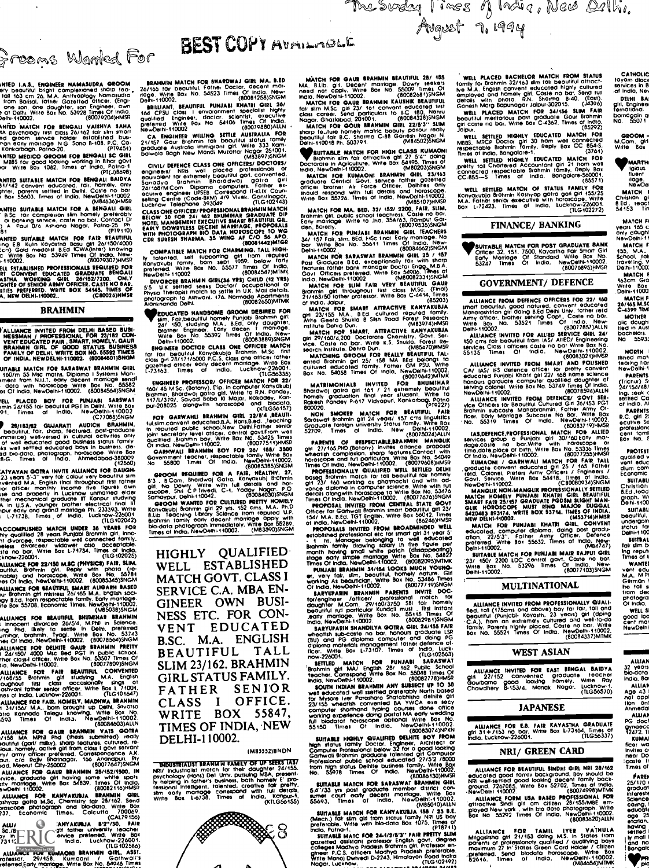The Surday lines of ladia, New Orllin. August 7, 1994

# BEST COPY AVAILABLE

**INTED LA.S. ENGINEER NAMASUDRA GROOM**<br>of the back of the complexioned shorp fed., 26/165 for the<br>figure of the complexioned shorp fed., 26/165 for<br>find 163 cm 26. MA. Anthroplogy Nomeau film BeltiJANT,<br>one son, one dought

NITED MATCH FOR SENGALI VAISNYA SAHA powerbology first closs 26/162 fair sim smart RewDelhi-<br>In prom service holder established bus. – CA EN<br>Indian Sahar Routing A G Soho B-108, P.C. co- 21/157 G<br>Konkarbogh, Patno-20. – (P ANTED MEDICO GROOM FOR BENGALI SC GIRL MESS ton good looking working in Bihar govt rot Write Bo. 1082. Times o' Indio, Potndi (PT(J)8608)

رداری<br>SMIED SUITABLE MATCH FOR BENGALI BAIDYA<br>S1/142 convent educated, foir, homely, only '1/142 convent educated, fair, homely. only Inver, parents settled in Delhi. Caste no bar r BO, 55603. Times of Indio. NewDelhi.110001 (M84636)HMSR

ANTED SUITABLE MATCH FOR A BENGALI GIRL<br>1 B.Sc tour complexion slim homely preferably meters<br>0 or banking service. caste no bar. Contact DI<br>3 A Paul 0/6 Ashiono Nagar. Patna-25 Ph<br>5 Relix

81<br>ANTED SUITABLE MATCH FOR FAIR BEAUTIFUL ECON SUB<br>Ing E.B Kulin Kayastho Basu girl 26/150/4000<br>CC Write Box No 53949 Times Of Indio. New.<br>C Write Box No 53949 Times Of Indio. New.<br>- 110002. (80079307)HMSP Kanyaku ELL ESTABLISHED PROFESSIONALS KENINED FOR PORTPORT<br>ASTHA WORKING GIRL 26/13/7/2000 ONLY DIVORE<br>GHIER OF SENIOR ARMY OFFICER CASTE NO BAR. 515 U.K<br>INTER OF SENIOR ARMY OFFICER CASTE NO BAR. 515 U.K.<br>A. NEW OELHI-110002...

#### BRAHMIN

ALLIANCE INVITED FROM DELHI BASED BUSI-<br>MESSMAN / PROFESSIONAL FOR 2018 CON-<br>VENT EDUCATED FAIR, SMART, HOMELV, QAUR<br>BRAHMIN GIRL OF GOOD STATUS BUSINESS BNGINEE<br>FAMILY OF DELHI, WRITE BOX NO. 85592 TIMES<br>OF INDIA, NEWDELH

UITABLE MATCH FOR SARASWAT BRAHMIN GIRL 2.7316<br>160/m 55 Msc moths, Diploma I Systems Moniment from N.I.I.T, early decent manicial send!<br>- data with horoscope Write Box No. 55582 - ENGINEE!<br>es Of India. NewDelhi-110002. (80084564)SNGM - bionmin Bl

ELL PLACED SOY FOR PUNJABI SARSWAT 117/L/3797.<br>train 24/155 fair beautiful PGT in Delhi. Write Box pur-208025<br>91. Times of Indio. NewDethi-110002<br>C7708<u>8</u>)SNGM **FOR GA** 

26/163/62 GUJARATI AUDICH BRAHMIN, TUI. SIITT<br>beautiful. fair, sharp, featured, post-graduate in rep immerce) well- versed In cultural activities only of well educated good business status forniiy ks well settled educated boys in business, de. something and 8id<br>310 bio-data, photograph, horoscope. Write Box B.G. G. Trees<br>8-G. Times of India, Ahmedabod-380009

ATYAYAN GOTRA INVITE ALLIANCE FOR DAUGH-<br>
23 years 5:3" very foir colour very beautiful sim-<br>
23 years 5:3" very foir colour very beautiful sim-<br>
13 . B.Com<br>
16 . and properly in Lucknow unmarked eight of the CODP.<br>
16 . a

**ACCOMPUSHED MATCH UNDER 35 YEARS FOR DID-00101**<br>hit qualified 28 years Punjabi Brahmin pin. inno- 11 Times of<br>hit divorcee, respectable well connected family. \*less divorcee/ widower alSo acceptable. ste no bor. Write Box 1-71734. Times of Indio. :know-226001. (TI.G102025)

ALLIANCE FOR 22/180 M.SC (PHYSICS) FAIR. SLIM.<br>autlful, Brohmln girl. Reply with photo (re-<br>nable) and horoscope. Witte Box No. 55781<br>hes Of India. NewDelhi-110002. (80085345)SNGM MAT AWANCE FOR BEAUTIFUL SMART ALIGARN BASED Arr Brahmin girl mistress 26/165 MA. English soci-17Y BEd, from respectable Early maniage. ifs Box 55708, EConomic TIMOR. NewDe1111-110002. (M85038)SNGM

ALLIANCE FOR BEAUTHUL BRIMINAR BRANNING (NEW THEORY OF THE UNIT OF THE UNIT OF THE UNIT OF THE UNIT OF THE UNIT OF THE UNIT OF THE UNIT OF THE UNIT OF THE UNIT OF THE UNIT OF THE UNIT OF THE UNIT OF THE UNIT OF THE UNIT OF 110. NewDeIN-110002. (80077800)SNGM SLIN<br>ALLIANCE FOR FAIR BEAUTIFUL CONVENTED SLIN<br>7108/55 Brahmin girl studying M.A. English GIR CONSIDER THE CHANNEL CONSIDER THE CONSIDERATION OF THE CHANNEL CONSIDER THE CHANNEL CONSIDER A SALE OF THE CHANNEL CONSIDER A SALE CONSIDER A SALE CONSIDER A SALE CONSIDER A SALE CONSIDER A SALE CONSIDER A SALE CONSIDER A .593 Times Of India. NewDelhl- 110002. (80084603)ALLN

ALLIANCE FOR GAINT BRAHMIN VATS GOTIKA 111111<br>VASS MA MPhil Phd (thesis submitted) really<br>ioutiful (goti/ milky), sharp features, cultured, real<br>ious, romely, active girl from closuring profiter and the current<br>by/ ammy of AWANCE FOR GAUR BRAHMIN 25/152/1500, IN INTI/ India<br>rvice, graduate gin having some white spots and problem<br>inty marriage, Write Box 54839, Times Of India.

swDefhi 110002.<br>ALLIANCE FOR KANYAKUBJA BRAHMIN GIRL strom min et<br>shydg: gotta M.Sc. Chemistry tat 25/162. Send write<br>proscope photograph and bio-data. Write Box 737, Beene/Mc Times, Calcutta 700069. (CA170156)

AWAKUSJA s-2<sup>-7</sup>730, FAIR SC./B.<br>
Sc./B.E.R.J.C. enviror university teachersity teacher<br>
73112, Times of Indio, Lucknow-226001.<br>
(TLG 102586)

AWA<del>nce For Ku</del>MA**ONI BRAHMIN GIRL, ASST.**<br>forestor, 29/158. KumOoni / Gorhwoll's<br>feleried.com/marrioge.witte Box No. 64945 Times

BRAHMIN MATCH FOR BHARDWAJ GIRL MATCH THE BEAUTHOF DOCTOR. CHECART MATCH MATCH MATCH MATCH MATCH MATCH MATCH M<br>26/165 fax beautiful. Father Doctor. decent mar- Match Match Match Match Match Match Match Match Match Match M Delin,- 110002.<br>BRILLIANT, BEAUTIFUL PUNJABI KNATRI GIRL 26/ 164/ 164 CPSU cioss 1 envoronment specialist highly for sitm<br>And CPSU cioss 1 envoronment specialist highly for sitmes<br>preferred Write For No 54106 Times 01 Indi MATCH FOR GAUR BRAHMIN BEAUTIFUL 211/ 211/ 211/ 211/ 211/ 211/ 456 MA. BLID. girl. Decent marriage. Dowry seekers formity for B<br>India. Bulb. girl. Decent marriage. SSOO Times Of the M.A. En<br>India. NewDelhi-110002. (8008268 MATCH FOR GAUSE BRAHMIN AND HANDING VEHICLE SOMETHING CONSULTING IN THE PLAT HAS CONSULTED IN THE PLAT HAS CONSULTED IN THE PLAT THE PLAT ON THE PLAT THE PLAT OF MATCH THE PLAT OF MATCH THE PLAT OF MATCH THE PLAT OF MATCH

NewDelhi-110002 (80079880)ALLN MATE sharp feJture homely matric beauty parlour really<br>beautiful fair B.C. Sharma C-88 Gonesh Nagar N. (WELL 31<br>Delhi-110018 Ph. 503791. (M84502)SNGM MBBS. MR

21/157 Gaur Brahmin fair beautiful status family graduate Austrolio immigrant gin. Write 333 Kom- Delhi-1100<br>Graduate Austrolio immigrant gin. Write 333 Kom- Delhi-1100<br>Backs New Mand Muzaffor (M83807)SNGM Muzamm CIVIL/ DEFENCE CLASS ONE OFFICERS/ DOCTORS/ WE were approached for the<br>engineers/ Nix we well placed professionals or the<br>equivalent for extremely beautiful gori. convented, SUITABLE MATCH FOR HIGH CLASS KUMAONI Brahmin Elm tair attractive gin 27 5'4" doing Doctorate in Agriculture. Write Box 54195, Times of India Doctorate in Agriculture. Write Box 54195, Times of halio, NewDelhi-110002. (M802203)SNGM MATCH FOR KUMAONI BRAHMIN GIRL 23/163 graduate central<br>MATCH FOR KUMAONI BRAHMIN GIRL 23/163 COMBETED<br>Graduate Central Govt. service father gazetted

Sonodyo Brahmin Bhorodwo) gotto girt<br>24/168/M Com Diploma computers. Father ex-<br>ecutive engineer UPSEB. Correspond IT-KLIX Coun- selling Centre (CodeBKM) 4/0 Vlvek. Gorninogor. Hi<br>Hucknow Telephone 303049 (71.G 102143) (71 CLASS ONE OFFICER/ PROFESSIONAL BRADUATE DIP<br>SELOW 30 FOR 24/ 162 BHUMINAR GRADUATE DIP HOTEL MANGEMENT EXECUTIVE SMART BEAUTIFUL GILL. EOIIV T officer brother Alr Force Officer. Delhites Only .<br>Should respond with full details and horoscope. WELL and horoscope.<br>Write Box 55726. Times of India. NewDelhi-110002. Kanyaku<br>M85107)HMSR M.A. Fa MATCH FOR MA, BED, 32/ 152/ 2200, FAIR, SLIM,<br>Brahmin girl, public school teachress. Caste no bor.<br>Early marriage. Wilte to Jha. 35A/63, Rampsur Gor-

EARLY DOWRYLESS DECENT MARRIAGE. PATCH MARRIAGE. PARTON<br>COR SURESN SHARMA, 35 WING AF C/O 56 APO.<br>CDR SURESN SHARMA, 35 WING AF C/O 56 APO. 34/ 157 F.<br>COMPATIBLE MATCH FOR CHARMING, TALL HIGH. Dolni-1100 den. Barelly.<br>**MATCH FOR PUNJABI BRAHMIN GIRL TEACHERS**<br>34/ 157 Foir. slim. BEd. MSc final Early marriage. No. bar Write Box No. 55611 Times Of India. New-<br>Delhi-110002. New- Delhi- 110002. (80084662)SNGM MATCH FOR SARASWAT BRAHMIN GIRL 25 / 157 Post Graduate 0 Edi<br>Post Graduate 8 Ed. exceptionally fair with sharp 6 53241

N talented, salt supporting girt from reputed<br>Kanyatubi family, born sept 1050, below forty post C<br>preferred. Write Box No. 55577 Times Of India. Post India NewDelhis 110002<br>
DIVORCEL BRAHMIN GIRL(36 YRS) CHILD (12 YRS)<br>
DIVORCEL BRAHMIN GIRL(36 YRS) CHILD (12 YRS)<br>
STO U.K. settled seeks Doctor/ occupational or MATC<br>
photograph to Ashwoni, 176, Normal Applements<br>
Divideo Appr Features to their bonk monoger Doctor Engage Mass of Government Control of the Control of Control of Control of Mass of Mass of Mass of Mass of Mass of Mass of Mass of Mass of Mass of Mass of Mass of Mass of Mass of Mass o

Fouca Tel. Control of Manufacturity of the Sea by the Control of the Sea by 150, studying M.A. B.C. only double the wine De by the Control of the Sea by the Engineer. Early decent moments. MATCH<br>With Sea by No. 55392 Times of indical Japanese SMART ATTRACTIVE KANYAKUBJA AUTA (SSZ03) ALIJA<br>
MATCH FOR SMART ATTRACTIVE KANYAKUBJA amort b<br>
MATCH FOR SMART ATTRACTIVE KANYAKUBJA amort b<br>
MATCH FOR SMART, ATTRACTIVE KANYAKUBJA Denin-11<br>
match FOR S

L-73163. Times of India. Lucknow- 226007. (11G56335) Box No. 54058 Times Of Indio. NewDelhi- 110002. (80079642)MTMK

ENGINEER PROFESSOR/ OFFICER MATCH FOR 460<br>Bighmin, Bhardwai gatra prince mputer Kanyakubj<br>Bighmin, Bhardwai gatra girl. Write to R.N. Pandey. 81<br>117/1/379/. Sanyad Baba Ki Majar, Kakadey. Kan-<br>101/208025 - diangwith haraka MATRIMONIALS INVITED FOR BHUMINAR mondus<br>Bhordwal gotra girl 161 / 21 extremely beautiful homely<br>homely graduation final year student. Write to RewDelhi<br>Rakesh Pandey P.617 Vidyapuri, Konkarbog, Patnara Afri

(K71G56157) FOR GARWAHLI BRAHMIN GIRL 22/5'4 AEAUTI. fulslim.convent educated,B.A. Hons,B.ed. ,teochIng in reputed public school,New Delhi,Fother senior .<br>Joint secretory level officer, central govt.From well .B2709<br>Qualified .Brahmin boy. Write Box No. 53425 Times 800020. (PT9222) NON SMOKER MATCH FOR BEAUTIFUL FAIR Brohmln girl 24 years<br>Non SMOKER MATCH FOR BEAUTIFUL FAIR Brohmln<br>Sarchward Brohmln girl 24 years/ 157 cms linguistics ficer. I<br>Graduate foreign university Status family

Of India. NewDolhi-110002. (80077511)HMSH<br>| GARNWALI BRAHMIN SOY FOR 26/ 158/ 3500 GHT<br>| Government teacher, respectable family Write Box wheatin No 55800 limes Of India, NewDelhi-110002. Indracoper<br>(80085385)SNGM limes Of the Wall (80085385)SNGM 52709. Times of India. New 1600/50242/ALIN 148,DI<br>
PARENTS OF RESPECTABLE.REAMMIN MANGLIK ISP/165.PHD (800750242/ALIN 169706.Com<br>
units of the complexion. India is alloned proposal independent<br>
when the complexion. In the

GROOM REQUIRED FOR A FAIR, HEALTHY, 27, FROMESSION BOTTOM COTTON, KANYAKUBJ BROWN DETERTY AND SUSTAILS AND SUSTAIN THE STATES AND SUSTAIN THE STATES OF THE STATES AND RELATION CORRELATION CONTINUES AND SUSTAIN THE STATES O Samoypur, Delhi-110042. (80084030)SNGM Genom Volton.<br>GROOM WANTED FOR CULTURED PRETTY HOMELY Times Of the<br>Konyokubi Brohmin giri 29 yrs. 152 cms. M.A. Ph.D. Price 101 details alongwith horoscope to Write Box No. 53476 MANGLI<br>Times Of India. NewDelhi-110002. (80077676)SNGM MATCH HA

0.1.1b Teaching Library Science from reputed U.P. U.P. CHITCH TOT<br>Brahmin family early decent marriage apply with 154/ M.A. E<br>Dio-dota photograph immediately. With Box 55280. Times of India. NewDelhi-110002. (M83500)SNGM P PROPOSAL INVITED FROM CENTRAL STATE GOVT OF<br>Officer for Gomwoll Brahmin smart beautiful girl 23/<br>154/ M.A. B.Ed. TGT English. Write Box 56012. Times MEW of indio. NewDelhi-110002.<br>PROPOSALS INVITED FROM BROADMINDED WELL WAT<br>established professional etc for smart girl 31 year 5' educa

The minimum formulation of the detection of the minimum formulation of the minimum formulation of the minimum month hoving and with a minimum month in the minimum of the minimum of the minimum month in the minimum of the m

beautiful must and Kundall must , first instant fleet that<br>
searly marriage. Write Box No. 55115 Times Of fleet that<br>
pany marriage. Write Box No. 56082981)SNGM - C.A.), from

sa evita si sa hanbiti va GOTRa Gilit 24/155 FAIR formit. Poren by when this show hot is given the sign in the state of distinguishment of distinguishment of distinguishment of distinguishment of distinguishment of the sta

TIMES OF INDIA, NEW 53150 Times Of Main News, 2008 TIMES OF INDIA, NEW 53150 Times Of Main News, 2009, 2009, 2009, 2009, 2009, 2009, 2009, 2009, 2009, 2009, 2009, 2009, 2009, 2009, 2009, 2009, 2009, 2009, 2009, 2009, 2009,

THOUGHT THE MINIT FANILY OF UP SERIES 1AST<br>
NRI/ Industrialist motion for their daughter 24/155, from the<br>
parchology (Hons) Del Univ, pursuing MBA, present.<br>
In teleping in faither's business, both homely E pro-<br>
In telep SUITABLE HIGHLY QUALIFIED DELHITE BOY FROM Ind Ngh status (amily Doctor, Engineer, Architect of<br>Computer Professional below 32 for a good looking<br>Gamwall Brohmin graduate folemed girl Computer<br>Professional public school educated 27/5/2 /8000<br>from high status Delhite bu SUITABLE MATCH FOR SARASWAT BRAHMIN GIRL 1993<br>5.4"733 yrs post graduate member district con- e/Movin<br>1.411 court early decent marriage. Write Box

55693, Times of Indio, NewDelh1.110002. (M85010)ALLN SUITABLE MATCH FOR KANYAKUBJA 156 / 23 B.E.<br>(Mech.) fair slim gin from status family NR US boy<br>preferable. Write with blo-data Box 1075, Times of<br>preferable. Write with blo-data Box 1075, Times of

prison of the Milliam Control of the Milliam Control of the Milliam Milliam Control of the Milliam Control of the Milliam Control of the Milliam Control of the Milliam Control of the Control of the Control of the Control o Nagar, Luckhow. (TLG102192)

WELL PLACED BACHELOR MAIL INTO THE THE THE THRUST THE MAIL FOR MAIL INC.<br>The M.A. English convent educated highly cultured services<br>omployed and hamely girl. Case no bor. Send full of india<br>englished into a particular R.A. Gonesh Morg Bopunogar Jaipur-302015. (.14396) girl, Engine<br>WELL PLACED MATCH FOR 34/156 SLIM FAIR fernational<br>beautiful meritorious post graduate Gaur Brahmin bornagain<br>girl caste no bor. Write Box C-4362. Times of India.

CATHOLIC<br>tayam diace<br>services in B<br>of India, Nev. DELHI BA:<br>girl, Engineer

MARTHI<br>
ligious<br>
fluent<br>
rioge.<br>
NewDel

MATCH I<br>Christian gi<br>BEd . reach<br>54153 Tin

MATCH Ft<br>2.05 Cyears only dought<br>NewDelhi 11 MATCH F 155. M.A.. School, foil travelling. V<br>Deihi-11000: MATCH I 163cm Gro<br>Write Box<br>Delhi- I 1000

MATCH 26/165 M.SC C-1399 TIME

NORTH<br>IShed motil<br>tearing hor

of indio. Al<br>**PARENTS**<br>R.C. girl 2t<br>ecutive So professione<br>cent fornil<br>Box No. 5

PROTEST<br>
qualified v<br>
vent educ<br>
dium com<br>
Economic

MOTHER<br>Glic doughtied in Aust<br>bachelors.<br>No 5593:

**PARENTS**<br>(Trichur) S<br>24/154/48/ Ing. seek

SUITABL<br>Christian<br>B.Ed..teod groph. With Delhi-1100 Suitable beautiful.<br>
Delhi-1100<br>
Delhi-1100 **SUITBAL** fair Silrh Ing reputo Times of 11

WANTEI<br>vent edu<br>M.A. M PI<br>German

photogra Of Indio. WELL S<br>good loc<br>cent mar<br>NewDelhi

ternagain q<br>No. 55071

**GROOM -**<br>M.Com. girl<br>Write Box

Jaipur.<br>WELL SETTLED HIGHLY EDUCATED MATCH FOR GROOM<br>MBS. MRCP Doctor girl 30 from well connected M.Com.<br>respectable Brahmin family. Reply Box CC 854-S. Write Bo

Times of India, Bangalore-1.<br>
WELL SETTLED HIGHLY EDUCATED MATCH FOR<br>
pretty tall Chartered Accountant girt 21 from well<br>
connected respectable Brahmin family. Reply Box<br>
Thus

CC-855-S Times of India. Bongolore.560001, (85571)

WELL SETTLED MATCH OF STATUS FAMILY FOR SCHILL SETTLED MATCH<br>Konyokubja Brahmin Koshyop gotra gen girt 155/25 MATCH<br>M.A. Father senior executive with horoscope. Write Bo. 1ec<br>Box L-72423. Times of India. Lucknow-226001. (1

#### FINANCE/ BANKING

'SUITABLE MATCH FOR POST GRADUATE BANK Officer 32. 151. 7500. Koyastho Fair Smart Girl Early Marriage Of Standard Write Box No. 53247 Times Of India. NewDelhI-110002. travelling<br>(80076895)HMSR Delhi-110

### GOVERNMENT/ DEFENCE 163Ch

ALLIANCE FROM DEFENCE OFFICERS FOR 22/ 1600<br>Smart beautiful, good natured, convent educated Mahorasturion girl doing BEd Delhi Univ. father retd C-4399 1<br>Army officer, brother serving Capt.. Caste no bar. . MADIH Write Box No. 53521 Times Of India. New- olic dougles No. 53521 Times Of India. New-<br>Delhi- 110002. (80077857)ALLN ALL Notherland ALLIANCE INVITED FOR ALLIED SERVICE GIRL 247 DOCTION.<br>150 cms fair beautiful from IAS/ AIIIED/ Engineering No. 55<br>19 emices Class I officers caste no bar Write Box No. <sup>55135</sup> Times Of India, NewDeini- 110002. (80083011)HMSR

ALLIANCE INVITED FROM SMARY AND FOUND TO CALLIANCE INVITED FROM THE CALCULATION IN THE CALCULATION IN THE MANUSCRIP CONTRACT AND INTERFERENCE OF THE MANUSCRIPT OF THE MANUSCRIPT OF THE MANUSCRIPT OF THE MANUSCRIPT OF THE M

No. 55319 Times Of Indio. NewDelhi-110002. active<br>
LASDEFENCE, PROFESSIONAL MATCH FOR ALLIED centrical<br>
LASDEFENCE, PROFESSIONAL MATCH FOR ALLIED centrical<br>
Horocoste no bon, Wille Wilh Noroccope of India<br>
itme.dote.ploce the actor place of birth, Wite Box 10, 13330 limes<br>
The actor place of birth, Wite Box 10, 13333 limes<br>
Christian Machine Hotel Control of the Capital Control of the Capital<br>
Christian Machine Machine Christian Control Con

Newbehi-11002.<br>
MANGH HOMELIK PROFESSIONALLY SETTLED<br>
MANGH HOMELY PUNJABI KHATRI GRAUTIFUL BEG.160C<br>
SMART FAIR 25/157 GRADUATE PODSM SLIGHT MAN-<br>
GLIK HOROSCOPE MUST RING MAJOR DUGGAL DOIN-1100<br>
GLIK HOROSCOPE MUST RING

NEW DELHI-110002.<br>MATCH FOR PUNJABI KHATRI GIRL, CONVENT undergor<br>Giucated, computer diploma. doing post gradu- Delhi-11<br>Helhi-11 ation. 22/5'3". Father Army Officer. Defence preferred, Write Box 55632, Times of Indio. New. 1991<br>| preferred, Write Box 55632, Times of Indianal Indianal Indianal

SUITABLE MATCH FOR PUNJABI MAIR RAJPUT GIRL TO THE THE SOT INTERNATIONAL TRISPERS OF THE BOX 2000 LDC Central governo contral distribution of the Walter Walter Delhi-110002.<br>Write Box No. 53296 Times Of India. New. Walter

### MULTINATIONAL Sempon

ALLIANCE INVITED FROM PROFESSIONALLY WALL-<br>
The d. 101 (175cms and obove) boy for foir, toll and<br>
beautiful (Punjobl- Kovosth, 23 years) and (dping<br>
C.A.), from an extremely cultured and well-to-do<br>
C.A.), from an extremel

#### WEST ASIAN

ALLIANCE INVITED FOR EAST BENGAL BAIDYA<br>girt 22/152 convented groduate teacher bio-dota<br>Gourbarna good looking homely. Write Roy India, 8d<br>Chowdhery B-153/4, Manak Nagar. Lucknow-1, Age 43

### JAPANESE

ALLIANCE FOR E.B. FAIR KAYASTNA GRADUATE<br>girl 31+1153 no bar. Write Box L-73164. Times of<br>indio. Lucknow-226001. (TLG56337) [XUM)

#### NRI/ GREEN CARD

ALLIANCE FOR BEAUTIFUL SINDHI GIRL NRI 28/162<br>educated good tomliv background. Boy should be<br>NRI well-settled good tooking decent formly back-<br>ground. 7267085. Write Box 52702, Times of India.<br>NewDelhi 410002.

NewDethi 110002.<br>ALLIANCE FORM USA BASED PROFESSIONAL FOR this estate and the science<br>| attractive Sindi girl am citizen 28/155/MBE emtiloox No 55292 Times Of India, NewDelhi-110002. age 25<br>(80083620)ALLN etarlan. (80083620)ALLN

ALLIANCE FOR TAMIL IYER VATHULA Mitted International Mitted International Mitted International International I parents of protessionoty qualified / qualifying boys = 1 and hostates Green Card Holder / citizen preferred. Send biodata horoscope, Write Box 53616. Times of Indian preferred. Send biodata horoscope, Write Box 52616. Time

ALLIAN<br>32 years<br>bio-data<br>India. Bar ALLIAN<br>Age 43 I<br>not appl<br>tion on!<br>Ahmedal



ALLIAN<br>PG doci<br>12472, Ti KUMAI<br>Ficer wa Invites CI neer Do caste Ir Times of

PARE)<br>25/170 1<br>gradual<br>Intereste<br>Science

**RESERVED** 

(M85552)BNDN

HIGHLY QUALIFIED WELL ESTABLISHED MATCH GOVT. CLASS I SERVICE C.A. MBA EN-GINEER OWN BUSI-NESS ETC. FOR CON-VENT EDUCATED B.SC. M.A. ENGLISH BEAUTIFUL TALL SLIM 23/162. BRAHMIN GIRL STATUS FAMILY.<br>FATHER SENIOR

CLASS <sup>I</sup> OFFICE. WRITE BOX 55847, TIMES OF INDIA, NEW

.01

DELHI-110002.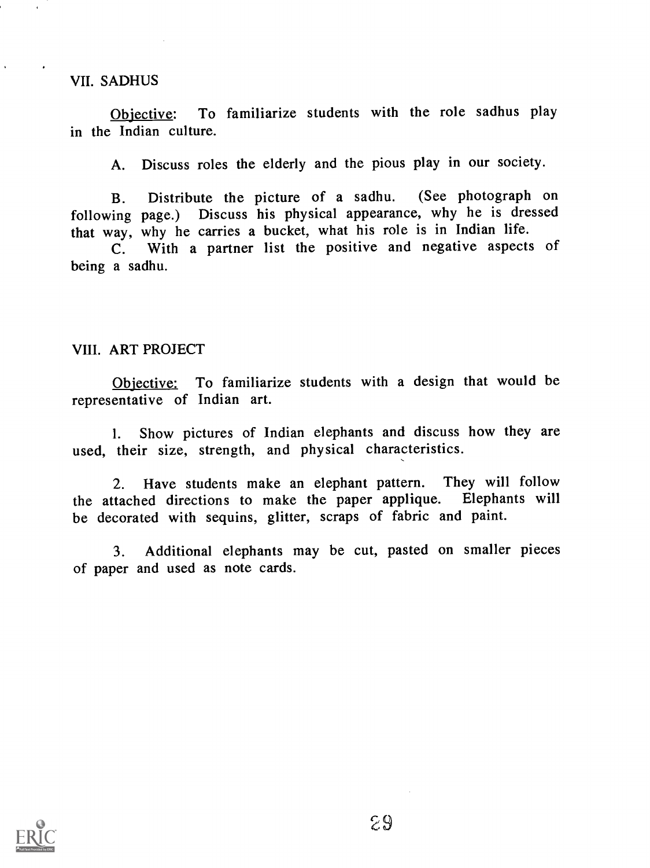VII. SADHUS

Objective: To familiarize students with the role sadhus play in the Indian culture.

A. Discuss roles the elderly and the pious play in our society.

B. Distribute the picture of a sadhu. (See photograph on following page.) Discuss his physical appearance, why he is dressed that way, why he carries a bucket, what his role is in Indian life.

C. With a partner list the positive and negative aspects of being a sadhu.

VIII. ART PROJECT

Objective: To familiarize students with a design that would be representative of Indian art.

1. Show pictures of Indian elephants and discuss how they are used, their size, strength, and physical characteristics.

2. Have students make an elephant pattern. They will follow the attached directions to make the paper applique. Elephants will be decorated with sequins, glitter, scraps of fabric and paint.

3. Additional elephants may be cut, pasted on smaller pieces of paper and used as note cards.

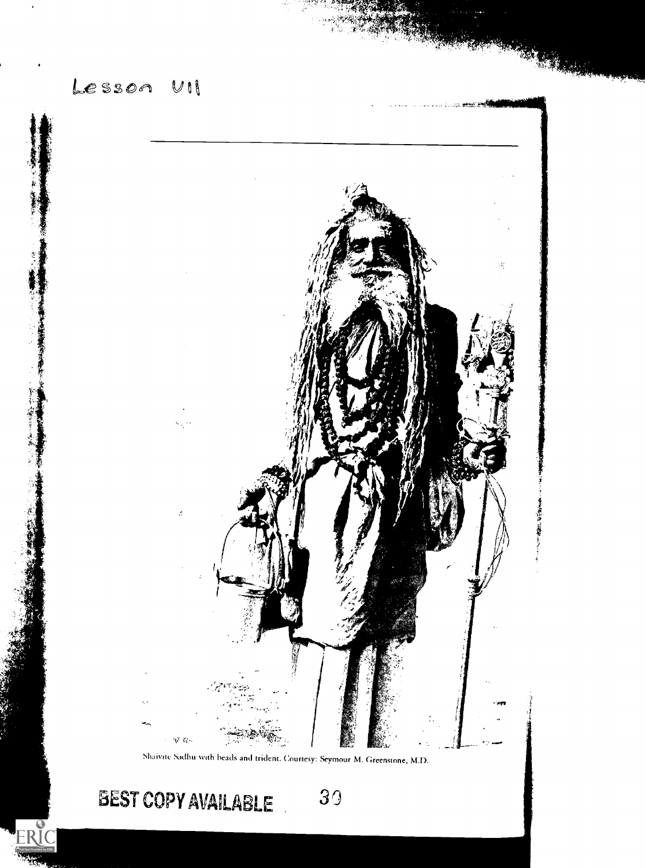#### Lesson  $\mathbb{U}$  i i



30

**BEST COPY AVAILABLE** 

 $ERIC$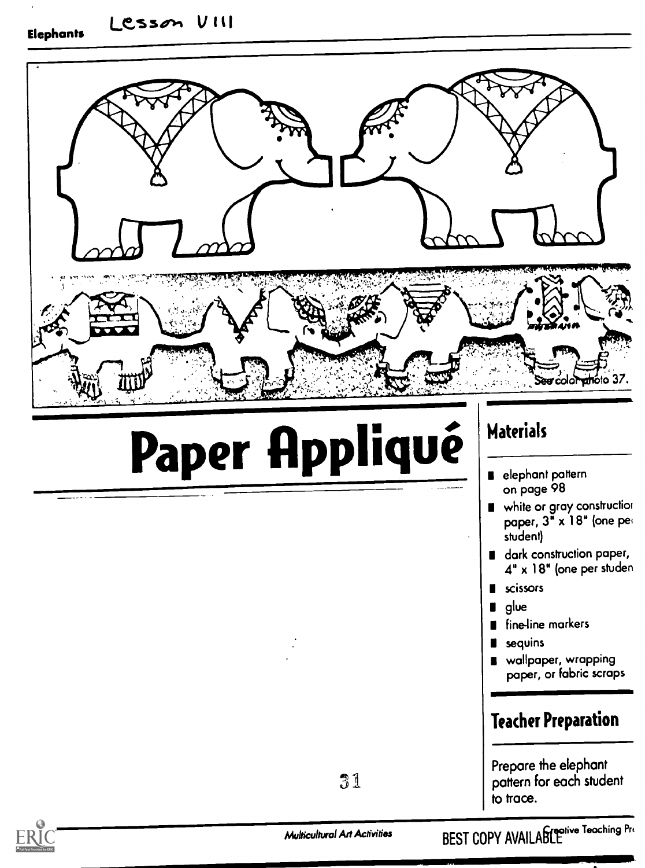## Lesson VIII







Multicultural Art Activities BEST COPY AVAILABLE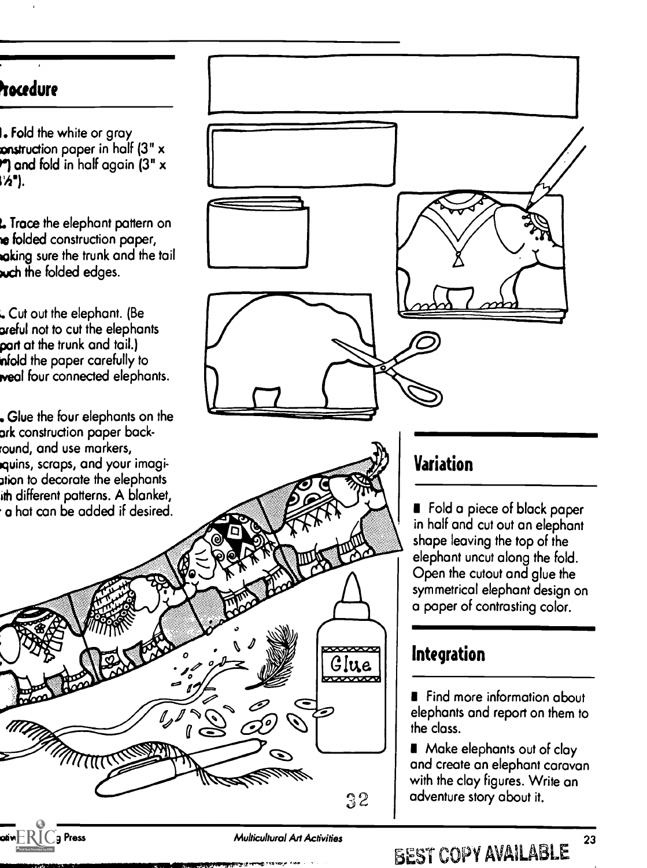## tocedure

I. Fold the white or gray onstruction paper in half (3" x  $\mathbf{P}$  and fold in half again (3"  $\times$ W).

L Trace the elephant pattern on re folded construction paper, taking sure the trunk and the tail wch the folded edges.

Cut out the elephant. (Be oreful not to cut the elephants port at the trunk and tail.) **infold the paper carefully to** weal four connected elephants.

. Glue the four elephants on the ork construction paper backround, and use markers, oquins, scraps, and your imagi-3tion to decorate the elephants ith different patterns. A blanket,  $\cdot$  a hat can be added if desired.



 $\mathsf{a}$ iw $\mathsf{FRIC}$ g Press  $\blacksquare$ 

**Find more information about** elephants and report on them to

**Make elephants out of clay** and create an elephant caravan with the clay figures. Write an

23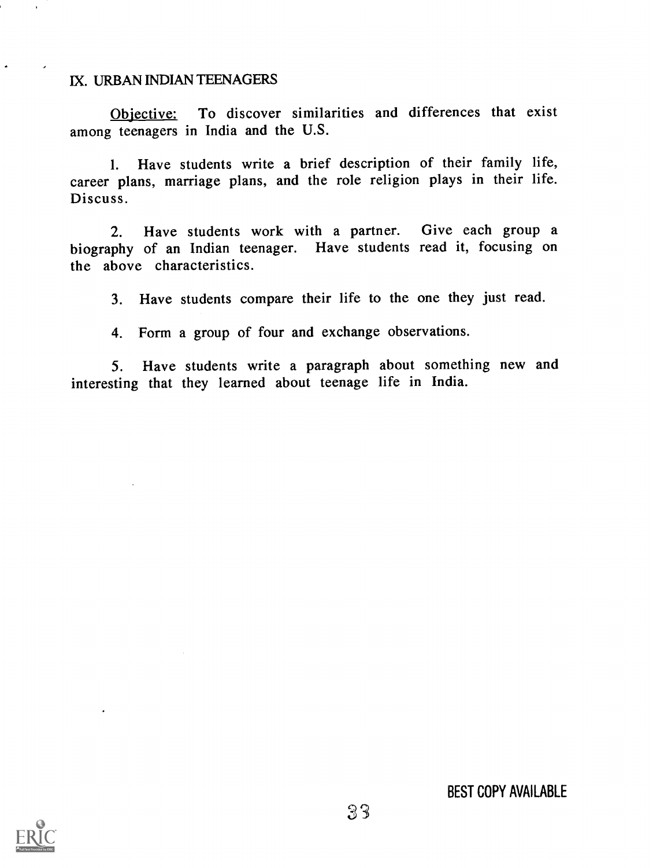### IX. URBAN INDIAN TEENAGERS

Objective: To discover similarities and differences that exist among teenagers in India and the U.S.

1. Have students write a brief description of their family life, career plans, marriage plans, and the role religion plays in their life. Discuss.

2. Have students work with a partner. Give each group a biography of an Indian teenager. Have students read it, focusing on the above characteristics.

3. Have students compare their life to the one they just read.

4. Form a group of four and exchange observations.

5. Have students write a paragraph about something new and interesting that they learned about teenage life in India.

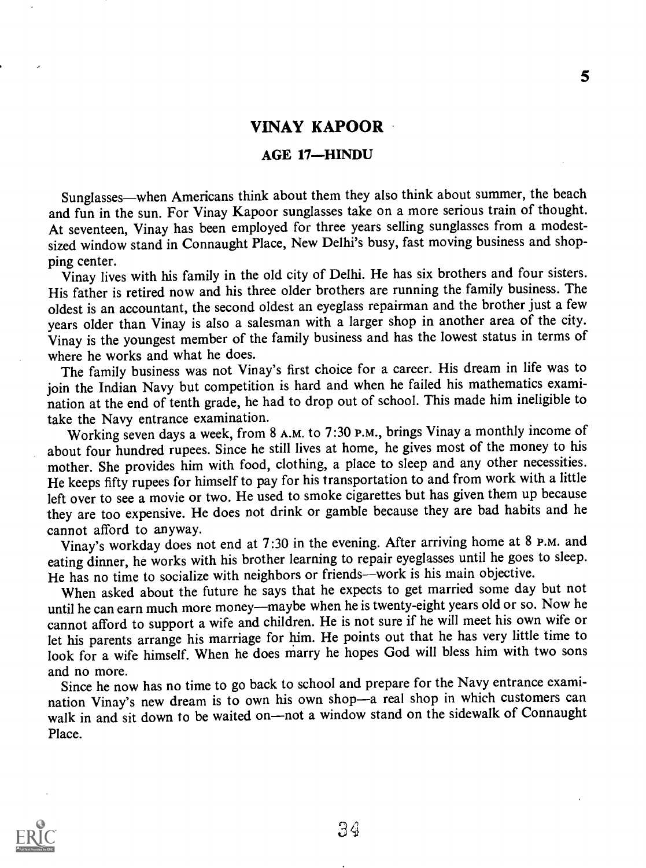### VINAY KAPOOR

### **AGE 17-HINDU**

Sunglasses—when Americans think about them they also think about summer, the beach and fun in the sun. For Vinay Kapoor sunglasses take on a more serious train of thought. At seventeen, Vinay has been employed for three years selling sunglasses from a modestsized window stand in Connaught Place, New Delhi's busy, fast moving business and shopping center.

Vinay lives with his family in the old city of Delhi. He has six brothers and four sisters. His father is retired now and his three older brothers are running the family business. The oldest is an accountant, the second oldest an eyeglass repairman and the brother just a few years older than Vinay is also a salesman with a larger shop in another area of the city. Vinay is the youngest member of the family business and has the lowest status in terms of where he works and what he does.

The family business was not Vinay's first choice for a career. His dream in life was to join the Indian Navy but competition is hard and when he failed his mathematics examination at the end of tenth grade, he had to drop out of school. This made him ineligible to take the Navy entrance examination.

Working seven days a week, from 8 A.M. to 7:30 P.M., brings Vinay a monthly income of about four hundred rupees. Since he still lives at home, he gives most of the money to his mother. She provides him with food, clothing, a place to sleep and any other necessities. He keeps fifty rupees for himself to pay for his transportation to and from work with a little left over to see a movie or two. He used to smoke cigarettes but has given them up because they are too expensive. He does not drink or gamble because they are bad habits and he cannot afford to anyway.

Vinay's workday does not end at 7:30 in the evening. After arriving home at 8 P.M. and eating dinner, he works with his brother learning to repair eyeglasses until he goes to sleep. He has no time to socialize with neighbors or friends—work is his main objective.

When asked about the future he says that he expects to get married some day but not until he can earn much more money—maybe when he is twenty-eight years old or so. Now he cannot afford to support a wife and children. He is not sure if he will meet his own wife or let his parents arrange his marriage for him. He points out that he has very little time to look for a wife himself. When he does marry he hopes God will bless him with two sons and no more.

Since he now has no time to go back to school and prepare for the Navy entrance examination Vinay's new dream is to own his own shop-a real shop in which customers can walk in and sit down to be waited on-not a window stand on the sidewalk of Connaught Place.

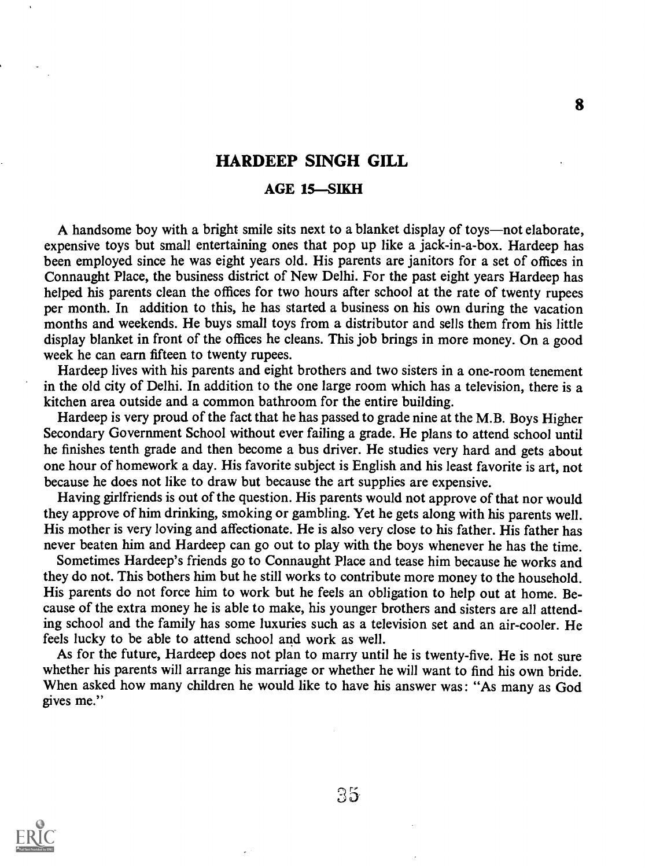### HARDEEP SINGH GILL

### AGE 15-SIKH

A handsome boy with a bright smile sits next to a blanket display of toys—not elaborate, expensive toys but small entertaining ones that pop up like a jack-in-a-box. Hardeep has been employed since he was eight years old. His parents are janitors for a set of offices in Connaught Place, the business district of New Delhi. For the past eight years Hardeep has helped his parents clean the offices for two hours after school at the rate of twenty rupees per month. In addition to this, he has started a business on his own during the vacation months and weekends. He buys small toys from a distributor and sells them from his little display blanket in front of the offices he cleans. This job brings in more money. On a good week he can earn fifteen to twenty rupees.

Hardeep lives with his parents and eight brothers and two sisters in a one-room tenement in the old city of Delhi. In addition to the one large room which has a television, there is a kitchen area outside and a common bathroom for the entire building.

Hardeep is very proud of the fact that he has passed to grade nine at the M.B. Boys Higher Secondary Government School without ever failing a grade. He plans to attend school until he finishes tenth grade and then become a bus driver. He studies very hard and gets about one hour of homework a day. His favorite subject is English and his least favorite is art, not because he does not like to draw but because the art supplies are expensive.

Having girlfriends is out of the question. His parents would not approve of that nor would they approve of him drinking, smoking or gambling. Yet he gets along with his parents well. His mother is very loving and affectionate. He is also very close to his father. His father has never beaten him and Hardeep can go out to play with the boys whenever he has the time.

Sometimes Hardeep's friends go to Connaught Place and tease him because he works and they do not. This bothers him but he still works to contribute more money to the household. His parents do not force him to work but he feels an obligation to help out at home. Because of the extra money he is able to make, his younger brothers and sisters are all attending school and the family has some luxuries such as a television set and an air-cooler. He feels lucky to be able to attend school and work as well.

As for the future, Hardeep does not plan to marry until he is twenty-five. He is not sure whether his parents will arrange his marriage or whether he will want to find his own bride. When asked how many children he would like to have his answer was: "As many as God gives me."



8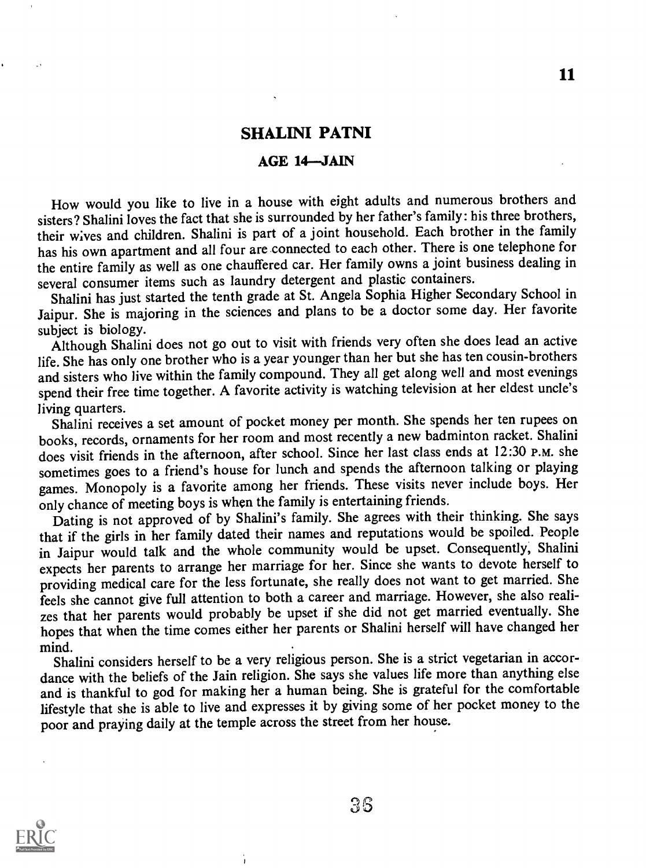### SHALINI PATNI

### AGE 14-JAIN

How would you like to live in a house with eight adults and numerous brothers and sisters? Shalini loves the fact that she is surrounded by her father's family: his three brothers, their wives and children. Shalini is part of a joint household. Each brother in the family has his own apartment and all four are connected to each other. There is one telephone for the entire family as well as one chauffered car. Her family owns a joint business dealing in several consumer items such as laundry detergent and plastic containers.

Shalini has just started the tenth grade at St. Angela Sophia Higher Secondary School in Jaipur. She is majoring in the sciences and plans to be a doctor some day. Her favorite subject is biology.

Although Shalini does not go out to visit with friends very often she does lead an active life. She has only one brother who is a year younger than her but she has ten cousin-brothers and sisters who live within the family compound. They all get along well and most evenings spend their free time together. A favorite activity is watching television at her eldest uncle's living quarters.

Shalini receives a set amount of pocket money per month. She spends her ten rupees on books, records, ornaments for her room and most recently a new badminton racket. Shalini does visit friends in the afternoon, after school. Since her last class ends at 12:30 P.M. she sometimes goes to a friend's house for lunch and spends the afternoon talking or playing games. Monopoly is a favorite among her friends. These visits never include boys. Her only chance of meeting boys is when the family is entertaining friends.

Dating is not approved of by Shalini's family. She agrees with their thinking. She says that if the girls in her family dated their names and reputations would be spoiled. People in Jaipur would talk and the whole community would be upset. Consequently, Shalini expects her parents to arrange her marriage for her. Since she wants to devote herself to providing medical care for the less fortunate, she really does not want to get married. She feels she cannot give full attention to both a career and marriage. However, she also realizes that her parents would probably be upset if she did not get married eventually. She hopes that when the time comes either her parents or Shalini herself will have changed her mind.

Shalini considers herself to be a very religious person. She is a strict vegetarian in accordance with the beliefs of the Jain religion. She says she values life more than anything else and is thankful to god for making her a human being. She is grateful for the comfortable lifestyle that she is able to live and expresses it by giving some of her pocket money to the poor and praying daily at the temple across the street from her house.

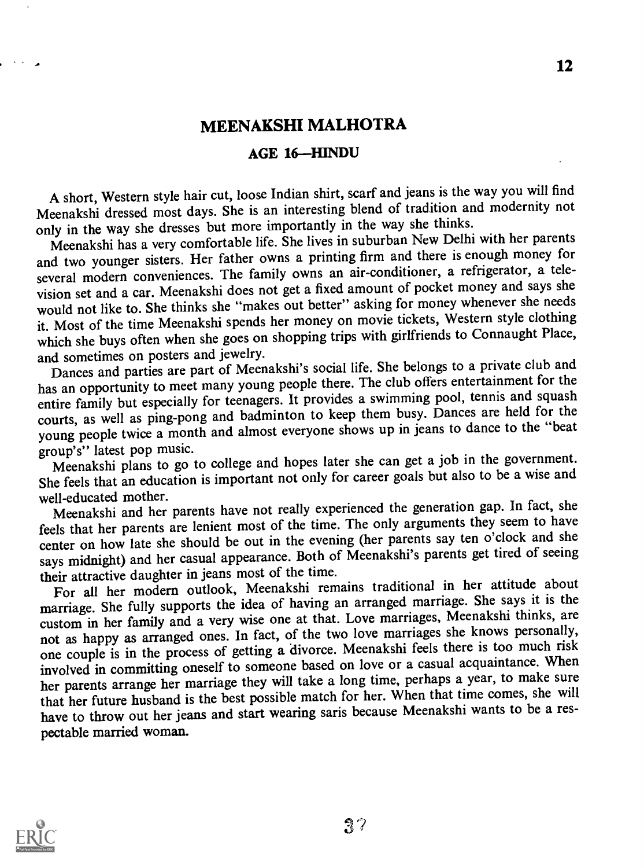### MEENAKSHI MALHOTRA

### **AGE 16-HINDU**

A short, Western style hair cut, loose Indian shirt, scarf and jeans is the way you will find Meenakshi dressed most days. She is an interesting blend of tradition and modernity not only in the way she dresses but more importantly in the way she thinks.

Meenakshi has a very comfortable life. She lives in suburban New Delhi with her parents and two younger sisters. Her father owns a printing firm and there is enough money for several modern conveniences. The family owns an air-conditioner, a refrigerator, a television set and a car. Meenakshi does not get a fixed amount of pocket money and says she would not like to. She thinks she "makes out better" asking for money whenever she needs it. Most of the time Meenakshi spends her money on movie tickets, Western style clothing which she buys often when she goes on shopping trips with girlfriends to Connaught Place, and sometimes on posters and jewelry.

Dances and parties are part of Meenakshi's social life. She belongs to a private club and has an opportunity to meet many young people there. The club offers entertainment for the entire family but especially for teenagers. It provides a swimming pool, tennis and squash courts, as well as ping-pong and badminton to keep them busy. Dances are held for the young people twice a month and almost everyone shows up in jeans to dance to the "beat group's" latest pop music.

Meenakshi plans to go to college and hopes later she can get a job in the government. She feels that an education is important not only for career goals but also to be a wise and well-educated mother.

Meenakshi and her parents have not really experienced the generation gap. In fact, she feels that her parents are lenient most of the time. The only arguments they seem to have center on how late she should be out in the evening (her parents say ten o'clock and she says midnight) and her casual appearance. Both of Meenakshi's parents get tired of seeing their attractive daughter in jeans most of the time.

For all her modern outlook, Meenakshi remains traditional in her attitude about marriage. She fully supports the idea of having an arranged marriage. She says it is the custom in her family and a very wise one at that. Love marriages, Meenakshi thinks, are not as happy as arranged ones. In fact, of the two love marriages she knows personally, one couple is in the process of getting a divorce. Meenakshi feels there is too much risk involved in committing oneself to someone based on love or a casual acquaintance. When her parents arrange her marriage they will take a long time, perhaps a year, to make sure that her future husband is the best possible match for her. When that time comes, she will have to throw out her jeans and start wearing saris because Meenakshi wants to be a respectable married woman.

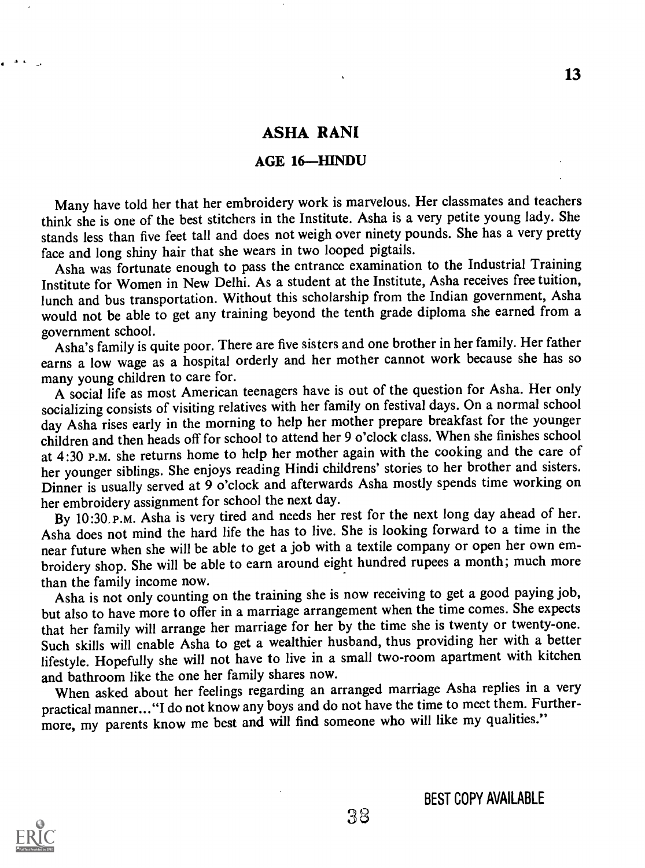### ASHA RANI

### AGE 16-HINDU

Many have told her that her embroidery work is marvelous. Her classmates and teachers think she is one of the best stitchers in the Institute. Asha is a very petite young lady. She stands less than five feet tall and does not weigh over ninety pounds. She has a very pretty face and long shiny hair that she wears in two looped pigtails.

Asha was fortunate enough to pass the entrance examination to the Industrial Training Institute for Women in New Delhi. As a student at the Institute, Asha receives free tuition, lunch and bus transportation. Without this scholarship from the Indian government, Asha would not be able to get any training beyond the tenth grade diploma she earned from a government school.

Asha's family is quite poor. There are five sisters and one brother in her family. Her father earns a low wage as a hospital orderly and her mother cannot work because she has so many young children to care for.

A social life as most American teenagers have is out of the question for Asha. Her only socializing consists of visiting relatives with her family on festival days. On a normal school day Asha rises early in the morning to help her mother prepare breakfast for the younger children and then heads off for school to attend her 9 o'clock class. When she finishes school at 4:30 P.M. she returns home to help her mother again with the cooking and the care of her younger siblings. She enjoys reading Hindi childrens' stories to her brother and sisters. Dinner is usually served at 9 o'clock and afterwards Asha mostly spends time working on her embroidery assignment for school the next day.

By 10:30.p.m. Asha is very tired and needs her rest for the next long day ahead of her. Asha does not mind the hard life the has to live. She is looking forward to a time in the near future when she will be able to get a job with a textile company or open her own embroidery shop. She will be able to earn around eight hundred rupees a month; much more than the family income now.

Asha is not only counting on the training she is now receiving to get a good paying job, but also to have more to offer in a marriage arrangement when the time comes. She expects that her family will arrange her marriage for her by the time she is twenty or twenty-one. Such skills will enable Asha to get a wealthier husband, thus providing her with a better lifestyle. Hopefully she will not have to live in a small two-room apartment with kitchen and bathroom like the one her family shares now.

When asked about her feelings regarding an arranged marriage Asha replies in a very practical manner... "I do not know any boys and do not have the time to meet them. Furthermore, my parents know me best and will find someone who will like my qualities."



13

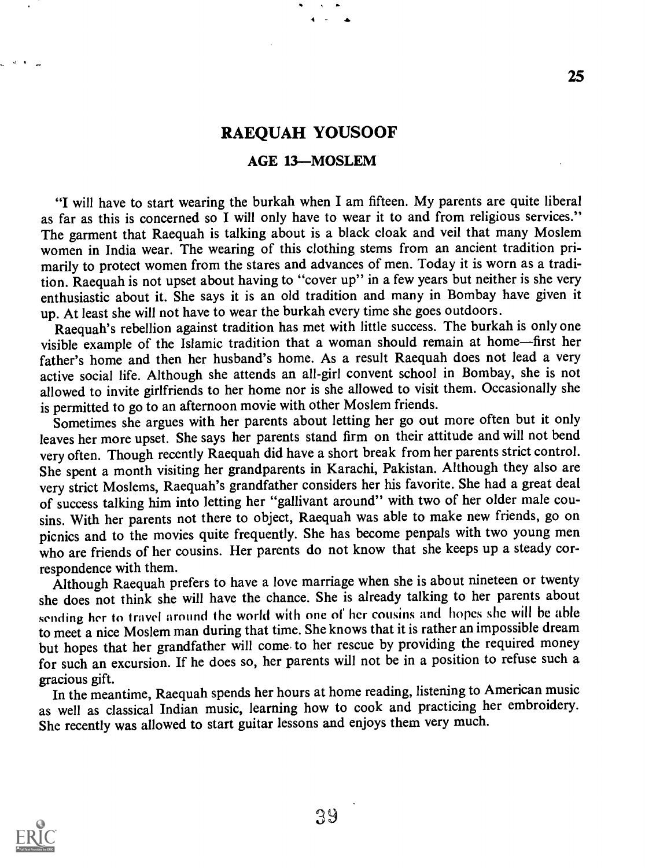### RAEQUAH YOUSOOF

### AGE 13-MOSLEM

"I will have to start wearing the burkah when I am fifteen. My parents are quite liberal as far as this is concerned so I will only have to wear it to and from religious services." The garment that Raequah is talking about is a black cloak and veil that many Moslem women in India wear. The wearing of this clothing stems from an ancient tradition primarily to protect women from the stares and advances of men. Today it is worn as a tradition. Raequah is not upset about having to "cover up" in a few years but neither is she very enthusiastic about it. She says it is an old tradition and many in Bombay have given it up. At least she will not have to wear the burkah every time she goes outdoors.

Raequah's rebellion against tradition has met with little success. The burkah is only one visible example of the Islamic tradition that a woman should remain at home-first her father's home and then her husband's home. As a result Raequah does not lead a very active social life. Although she attends an all-girl convent school in Bombay, she is not allowed to invite girlfriends to her home nor is she allowed to visit them. Occasionally she is permitted to go to an afternoon movie with other Moslem friends.

Sometimes she argues with her parents about letting her go out more often but it only leaves her more upset. She says her parents stand firm on their attitude and will not bend very often. Though recently Raequah did have a short break from her parents strict control. She spent a month visiting her grandparents in Karachi, Pakistan. Although they also are very strict Moslems, Raequah's grandfather considers her his favorite. She had a great deal of success talking him into letting her "gallivant around" with two of her older male cousins. With her parents not there to object, Raequah was able to make new friends, go on picnics and to the movies quite frequently. She has become penpals with two young men who are friends of her cousins. Her parents do not know that she keeps up a steady correspondence with them.

Although Raequah prefers to have a love marriage when she is about nineteen or twenty she does not think she will have the chance. She is already talking to her parents about sending her to travel around the world with one of her cousins and hopes she will be able to meet a nice Moslem man during that time. She knows that it is rather an impossible dream but hopes that her grandfather will come. to her rescue by providing the required money for such an excursion. If he does so, her parents will not be in a position to refuse such a gracious gift.

In the meantime, Raequah spends her hours at home reading, listening to American music as well as classical Indian music, learning how to cook and practicing her embroidery. She recently was allowed to start guitar lessons and enjoys them very much.



25